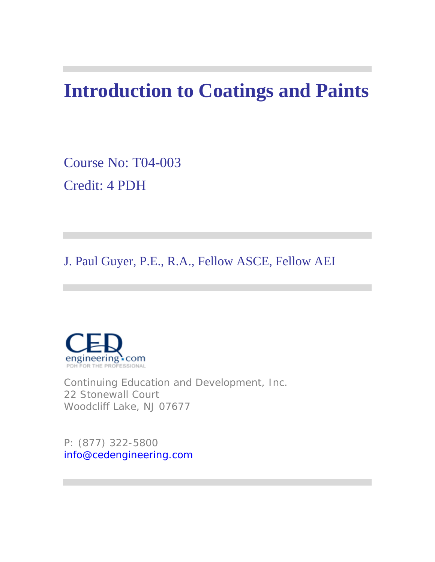## **Introduction to Coatings and Paints**

Course No: T04-003 Credit: 4 PDH

J. Paul Guyer, P.E., R.A., Fellow ASCE, Fellow AEI



Continuing Education and Development, Inc. 22 Stonewall Court Woodcliff Lake, NJ 07677

P: (877) 322-5800 info@cedengineering.com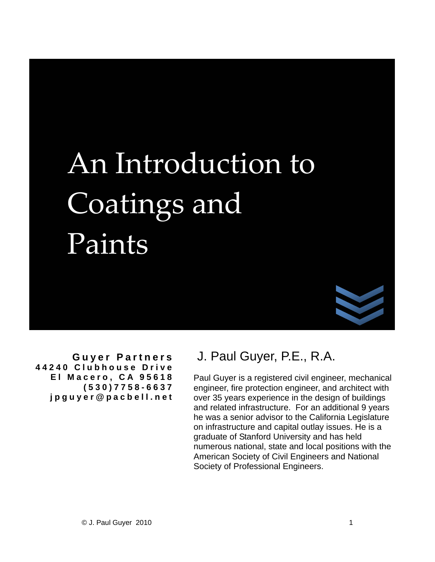# An Introduction to Coatings and Paints

**G u y e r Partners 44240 Clubho use Drive El Macero, CA 95618 (530)7758-6637 jpguy e r@p a cbell.ne t**

### J. Paul Guyer, P.E., R.A.

Paul Guyer is a registered civil engineer, mechanical engineer, fire protection engineer, and architect with over 35 years experience in the design of buildings and related infrastructure. For an additional 9 years he was a senior advisor to the California Legislature on infrastructure and capital outlay issues. He is a graduate of Stanford University and has held numerous national, state and local positions with the American Society of Civil Engineers and National Society of Professional Engineers.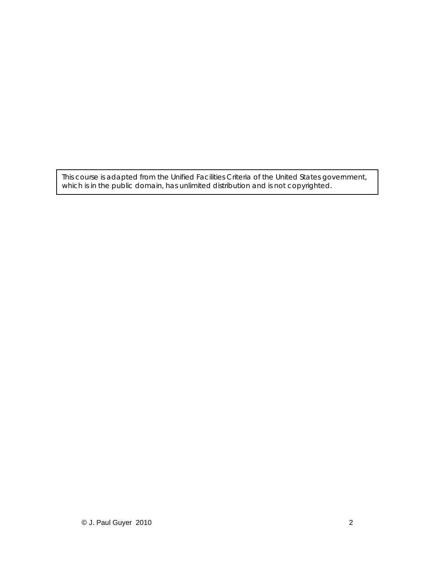This course is adapted from the *Unified Facilities Criteria* of the United States government, which is in the public domain, has unlimited distribution and is not copyrighted.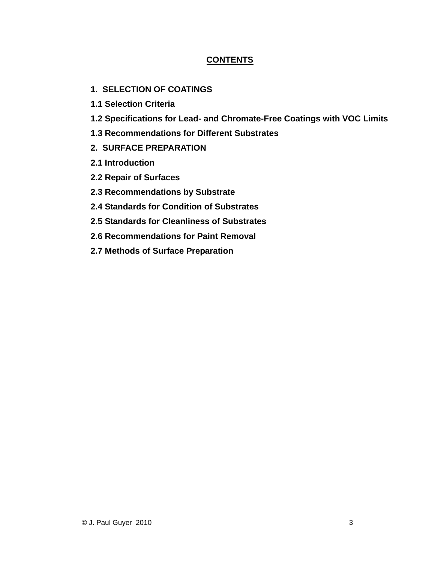#### **CONTENTS**

- **1. SELECTION OF COATINGS**
- **1.1 Selection Criteria**
- **1.2 Specifications for Lead- and Chromate-Free Coatings with VOC Limits**
- **1.3 Recommendations for Different Substrates**
- **2. SURFACE PREPARATION**
- **2.1 Introduction**
- **2.2 Repair of Surfaces**
- **2.3 Recommendations by Substrate**
- **2.4 Standards for Condition of Substrates**
- **2.5 Standards for Cleanliness of Substrates**
- **2.6 Recommendations for Paint Removal**
- **2.7 Methods of Surface Preparation**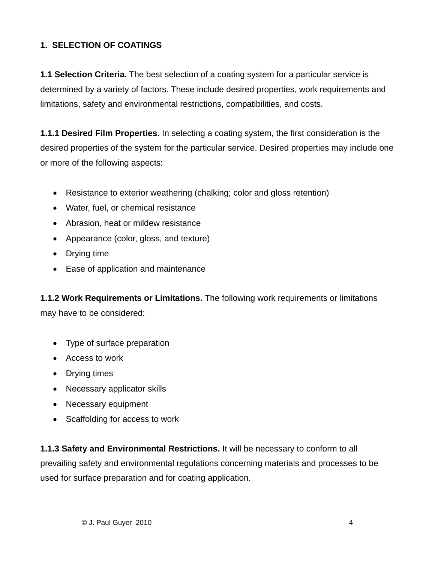#### **1. SELECTION OF COATINGS**

**1.1 Selection Criteria.** The best selection of a coating system for a particular service is determined by a variety of factors. These include desired properties, work requirements and limitations, safety and environmental restrictions, compatibilities, and costs.

**1.1.1 Desired Film Properties.** In selecting a coating system, the first consideration is the desired properties of the system for the particular service. Desired properties may include one or more of the following aspects:

- Resistance to exterior weathering (chalking; color and gloss retention)
- Water, fuel, or chemical resistance
- Abrasion, heat or mildew resistance
- Appearance (color, gloss, and texture)
- Drying time
- Ease of application and maintenance

**1.1.2 Work Requirements or Limitations.** The following work requirements or limitations may have to be considered:

- Type of surface preparation
- Access to work
- Drying times
- Necessary applicator skills
- Necessary equipment
- Scaffolding for access to work

**1.1.3 Safety and Environmental Restrictions.** It will be necessary to conform to all prevailing safety and environmental regulations concerning materials and processes to be used for surface preparation and for coating application.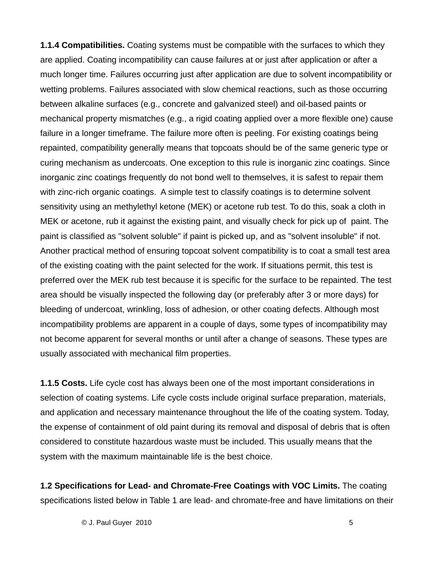**1.1.4 Compatibilities.** Coating systems must be compatible with the surfaces to which they are applied. Coating incompatibility can cause failures at or just after application or after a much longer time. Failures occurring just after application are due to solvent incompatibility or wetting problems. Failures associated with slow chemical reactions, such as those occurring between alkaline surfaces (e.g., concrete and galvanized steel) and oil-based paints or mechanical property mismatches (e.g., a rigid coating applied over a more flexible one) cause failure in a longer timeframe. The failure more often is peeling. For existing coatings being repainted, compatibility generally means that topcoats should be of the same generic type or curing mechanism as undercoats. One exception to this rule is inorganic zinc coatings. Since inorganic zinc coatings frequently do not bond well to themselves, it is safest to repair them with zinc-rich organic coatings. A simple test to classify coatings is to determine solvent sensitivity using an methylethyl ketone (MEK) or acetone rub test. To do this, soak a cloth in MEK or acetone, rub it against the existing paint, and visually check for pick up of paint. The paint is classified as "solvent soluble" if paint is picked up, and as "solvent insoluble" if not. Another practical method of ensuring topcoat solvent compatibility is to coat a small test area of the existing coating with the paint selected for the work. If situations permit, this test is preferred over the MEK rub test because it is specific for the surface to be repainted. The test area should be visually inspected the following day (or preferably after 3 or more days) for bleeding of undercoat, wrinkling, loss of adhesion, or other coating defects. Although most incompatibility problems are apparent in a couple of days, some types of incompatibility may not become apparent for several months or until after a change of seasons. These types are usually associated with mechanical film properties.

**1.1.5 Costs.** Life cycle cost has always been one of the most important considerations in selection of coating systems. Life cycle costs include original surface preparation, materials, and application and necessary maintenance throughout the life of the coating system. Today, the expense of containment of old paint during its removal and disposal of debris that is often considered to constitute hazardous waste must be included. This usually means that the system with the maximum maintainable life is the best choice.

**1.2 Specifications for Lead- and Chromate-Free Coatings with VOC Limits.** The coating specifications listed below in Table 1 are lead- and chromate-free and have limitations on their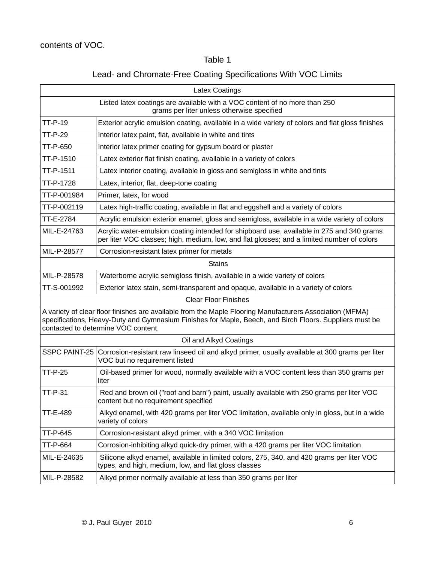#### Table 1

#### Lead- and Chromate-Free Coating Specifications With VOC Limits

| <b>Latex Coatings</b>                                                                                                                                                                                                                                      |                                                                                                                                                                                         |  |
|------------------------------------------------------------------------------------------------------------------------------------------------------------------------------------------------------------------------------------------------------------|-----------------------------------------------------------------------------------------------------------------------------------------------------------------------------------------|--|
| Listed latex coatings are available with a VOC content of no more than 250<br>grams per liter unless otherwise specified                                                                                                                                   |                                                                                                                                                                                         |  |
| TT-P-19                                                                                                                                                                                                                                                    | Exterior acrylic emulsion coating, available in a wide variety of colors and flat gloss finishes                                                                                        |  |
| TT-P-29                                                                                                                                                                                                                                                    | Interior latex paint, flat, available in white and tints                                                                                                                                |  |
| TT-P-650                                                                                                                                                                                                                                                   | Interior latex primer coating for gypsum board or plaster                                                                                                                               |  |
| TT-P-1510                                                                                                                                                                                                                                                  | Latex exterior flat finish coating, available in a variety of colors                                                                                                                    |  |
| TT-P-1511                                                                                                                                                                                                                                                  | Latex interior coating, available in gloss and semigloss in white and tints                                                                                                             |  |
| TT-P-1728                                                                                                                                                                                                                                                  | Latex, interior, flat, deep-tone coating                                                                                                                                                |  |
| TT-P-001984                                                                                                                                                                                                                                                | Primer, latex, for wood                                                                                                                                                                 |  |
| TT-P-002119                                                                                                                                                                                                                                                | Latex high-traffic coating, available in flat and eggshell and a variety of colors                                                                                                      |  |
| TT-E-2784                                                                                                                                                                                                                                                  | Acrylic emulsion exterior enamel, gloss and semigloss, available in a wide variety of colors                                                                                            |  |
| MIL-E-24763                                                                                                                                                                                                                                                | Acrylic water-emulsion coating intended for shipboard use, available in 275 and 340 grams<br>per liter VOC classes; high, medium, low, and flat glosses; and a limited number of colors |  |
| MIL-P-28577                                                                                                                                                                                                                                                | Corrosion-resistant latex primer for metals                                                                                                                                             |  |
| <b>Stains</b>                                                                                                                                                                                                                                              |                                                                                                                                                                                         |  |
| MIL-P-28578                                                                                                                                                                                                                                                | Waterborne acrylic semigloss finish, available in a wide variety of colors                                                                                                              |  |
| TT-S-001992                                                                                                                                                                                                                                                | Exterior latex stain, semi-transparent and opaque, available in a variety of colors                                                                                                     |  |
|                                                                                                                                                                                                                                                            | <b>Clear Floor Finishes</b>                                                                                                                                                             |  |
| A variety of clear floor finishes are available from the Maple Flooring Manufacturers Association (MFMA)<br>specifications, Heavy-Duty and Gymnasium Finishes for Maple, Beech, and Birch Floors. Suppliers must be<br>contacted to determine VOC content. |                                                                                                                                                                                         |  |
|                                                                                                                                                                                                                                                            | Oil and Alkyd Coatings                                                                                                                                                                  |  |
| SSPC PAINT-25                                                                                                                                                                                                                                              | Corrosion-resistant raw linseed oil and alkyd primer, usually available at 300 grams per liter<br>VOC but no requirement listed                                                         |  |
| <b>TT-P-25</b>                                                                                                                                                                                                                                             | Oil-based primer for wood, normally available with a VOC content less than 350 grams per<br>liter                                                                                       |  |
| <b>TT-P-31</b>                                                                                                                                                                                                                                             | Red and brown oil ("roof and barn") paint, usually available with 250 grams per liter VOC<br>content but no requirement specified                                                       |  |
| TT-E-489                                                                                                                                                                                                                                                   | Alkyd enamel, with 420 grams per liter VOC limitation, available only in gloss, but in a wide<br>variety of colors                                                                      |  |
| TT-P-645                                                                                                                                                                                                                                                   | Corrosion-resistant alkyd primer, with a 340 VOC limitation                                                                                                                             |  |
| TT-P-664                                                                                                                                                                                                                                                   | Corrosion-inhibiting alkyd quick-dry primer, with a 420 grams per liter VOC limitation                                                                                                  |  |
| MIL-E-24635                                                                                                                                                                                                                                                | Silicone alkyd enamel, available in limited colors, 275, 340, and 420 grams per liter VOC<br>types, and high, medium, low, and flat gloss classes                                       |  |
| MIL-P-28582                                                                                                                                                                                                                                                | Alkyd primer normally available at less than 350 grams per liter                                                                                                                        |  |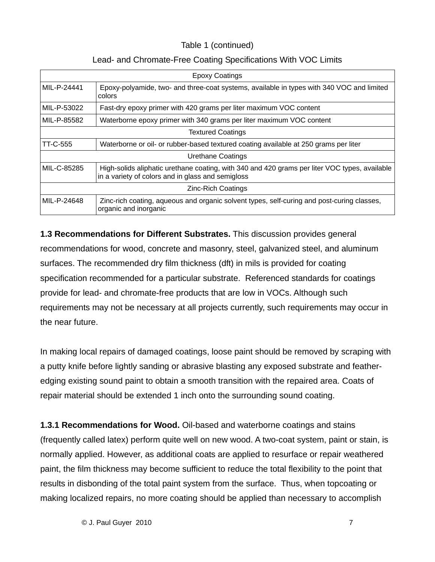#### Table 1 (continued)

| <b>Epoxy Coatings</b>     |                                                                                                                                                    |  |
|---------------------------|----------------------------------------------------------------------------------------------------------------------------------------------------|--|
| MIL-P-24441               | Epoxy-polyamide, two- and three-coat systems, available in types with 340 VOC and limited<br>colors                                                |  |
| MIL-P-53022               | Fast-dry epoxy primer with 420 grams per liter maximum VOC content                                                                                 |  |
| MIL-P-85582               | Waterborne epoxy primer with 340 grams per liter maximum VOC content                                                                               |  |
| <b>Textured Coatings</b>  |                                                                                                                                                    |  |
| TT-C-555                  | Waterborne or oil- or rubber-based textured coating available at 250 grams per liter                                                               |  |
|                           | Urethane Coatings                                                                                                                                  |  |
| MIL-C-85285               | High-solids aliphatic urethane coating, with 340 and 420 grams per liter VOC types, available<br>in a variety of colors and in glass and semigloss |  |
| <b>Zinc-Rich Coatings</b> |                                                                                                                                                    |  |
| MIL-P-24648               | Zinc-rich coating, aqueous and organic solvent types, self-curing and post-curing classes,<br>organic and inorganic                                |  |

**1.3 Recommendations for Different Substrates.** This discussion provides general recommendations for wood, concrete and masonry, steel, galvanized steel, and aluminum surfaces. The recommended dry film thickness (dft) in mils is provided for coating specification recommended for a particular substrate. Referenced standards for coatings provide for lead- and chromate-free products that are low in VOCs. Although such requirements may not be necessary at all projects currently, such requirements may occur in the near future.

In making local repairs of damaged coatings, loose paint should be removed by scraping with a putty knife before lightly sanding or abrasive blasting any exposed substrate and featheredging existing sound paint to obtain a smooth transition with the repaired area. Coats of repair material should be extended 1 inch onto the surrounding sound coating.

**1.3.1 Recommendations for Wood.** Oil-based and waterborne coatings and stains (frequently called latex) perform quite well on new wood. A two-coat system, paint or stain, is normally applied. However, as additional coats are applied to resurface or repair weathered paint, the film thickness may become sufficient to reduce the total flexibility to the point that results in disbonding of the total paint system from the surface. Thus, when topcoating or making localized repairs, no more coating should be applied than necessary to accomplish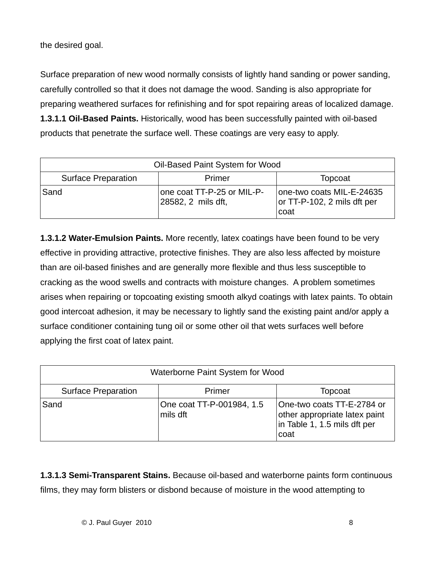the desired goal.

Surface preparation of new wood normally consists of lightly hand sanding or power sanding, carefully controlled so that it does not damage the wood. Sanding is also appropriate for preparing weathered surfaces for refinishing and for spot repairing areas of localized damage. **1.3.1.1 Oil-Based Paints.** Historically, wood has been successfully painted with oil-based products that penetrate the surface well. These coatings are very easy to apply.

| Oil-Based Paint System for Wood                 |                                                  |                                                                  |  |
|-------------------------------------------------|--------------------------------------------------|------------------------------------------------------------------|--|
| <b>Surface Preparation</b><br>Primer<br>Topcoat |                                                  |                                                                  |  |
| Sand                                            | one coat TT-P-25 or MIL-P-<br>28582, 2 mils dft, | one-two coats MIL-E-24635<br>or TT-P-102, 2 mils dft per<br>coat |  |

**1.3.1.2 Water-Emulsion Paints.** More recently, latex coatings have been found to be very effective in providing attractive, protective finishes. They are also less affected by moisture than are oil-based finishes and are generally more flexible and thus less susceptible to cracking as the wood swells and contracts with moisture changes. A problem sometimes arises when repairing or topcoating existing smooth alkyd coatings with latex paints. To obtain good intercoat adhesion, it may be necessary to lightly sand the existing paint and/or apply a surface conditioner containing tung oil or some other oil that wets surfaces well before applying the first coat of latex paint.

| Waterborne Paint System for Wood                |                                       |                                                                                                     |  |
|-------------------------------------------------|---------------------------------------|-----------------------------------------------------------------------------------------------------|--|
| <b>Surface Preparation</b><br>Primer<br>Topcoat |                                       |                                                                                                     |  |
| Sand                                            | One coat TT-P-001984, 1.5<br>mils dft | One-two coats TT-E-2784 or<br>other appropriate latex paint<br>in Table 1, 1.5 mils dft per<br>coat |  |

**1.3.1.3 Semi-Transparent Stains.** Because oil-based and waterborne paints form continuous films, they may form blisters or disbond because of moisture in the wood attempting to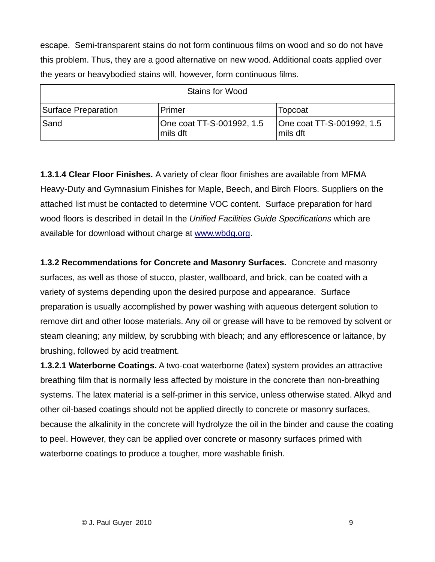escape. Semi-transparent stains do not form continuous films on wood and so do not have this problem. Thus, they are a good alternative on new wood. Additional coats applied over the years or heavybodied stains will, however, form continuous films.

| <b>Stains for Wood</b> |                                       |                                       |
|------------------------|---------------------------------------|---------------------------------------|
| Surface Preparation    | Primer                                | Topcoat                               |
| Sand                   | One coat TT-S-001992, 1.5<br>mils dft | One coat TT-S-001992, 1.5<br>mils dft |

**1.3.1.4 Clear Floor Finishes.** A variety of clear floor finishes are available from MFMA Heavy-Duty and Gymnasium Finishes for Maple, Beech, and Birch Floors. Suppliers on the attached list must be contacted to determine VOC content. Surface preparation for hard wood floors is described in detail In the *Unified Facilities Guide Specifications* which are available for download without charge at [www.wbdg.org](http://www.wbdg.org/).

**1.3.2 Recommendations for Concrete and Masonry Surfaces.** Concrete and masonry surfaces, as well as those of stucco, plaster, wallboard, and brick, can be coated with a variety of systems depending upon the desired purpose and appearance. Surface preparation is usually accomplished by power washing with aqueous detergent solution to remove dirt and other loose materials. Any oil or grease will have to be removed by solvent or steam cleaning; any mildew, by scrubbing with bleach; and any efflorescence or laitance, by brushing, followed by acid treatment.

**1.3.2.1 Waterborne Coatings.** A two-coat waterborne (latex) system provides an attractive breathing film that is normally less affected by moisture in the concrete than non-breathing systems. The latex material is a self-primer in this service, unless otherwise stated. Alkyd and other oil-based coatings should not be applied directly to concrete or masonry surfaces, because the alkalinity in the concrete will hydrolyze the oil in the binder and cause the coating to peel. However, they can be applied over concrete or masonry surfaces primed with waterborne coatings to produce a tougher, more washable finish.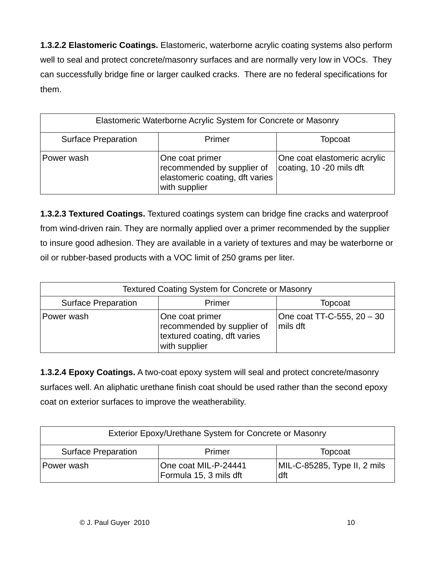**1.3.2.2 Elastomeric Coatings.** Elastomeric, waterborne acrylic coating systems also perform well to seal and protect concrete/masonry surfaces and are normally very low in VOCs. They can successfully bridge fine or larger caulked cracks. There are no federal specifications for them.

| Elastomeric Waterborne Acrylic System for Concrete or Masonry |                                                                                                   |                                                          |
|---------------------------------------------------------------|---------------------------------------------------------------------------------------------------|----------------------------------------------------------|
| <b>Surface Preparation</b>                                    | Primer                                                                                            | Topcoat                                                  |
| Power wash                                                    | One coat primer<br>recommended by supplier of<br>elastomeric coating, dft varies<br>with supplier | One coat elastomeric acrylic<br>coating, 10 -20 mils dft |

**1.3.2.3 Textured Coatings.** Textured coatings system can bridge fine cracks and waterproof from wind-driven rain. They are normally applied over a primer recommended by the supplier to insure good adhesion. They are available in a variety of textures and may be waterborne or oil or rubber-based products with a VOC limit of 250 grams per liter.

| <b>Textured Coating System for Concrete or Masonry</b> |                                                                                                |                                        |  |
|--------------------------------------------------------|------------------------------------------------------------------------------------------------|----------------------------------------|--|
| <b>Surface Preparation</b>                             | Primer                                                                                         | Topcoat                                |  |
| Power wash                                             | One coat primer<br>recommended by supplier of<br>textured coating, dft varies<br>with supplier | One coat TT-C-555, 20 - 30<br>mils dft |  |

**1.3.2.4 Epoxy Coatings.** A two-coat epoxy system will seal and protect concrete/masonry surfaces well. An aliphatic urethane finish coat should be used rather than the second epoxy coat on exterior surfaces to improve the weatherability.

| Exterior Epoxy/Urethane System for Concrete or Masonry |                                                |                                     |
|--------------------------------------------------------|------------------------------------------------|-------------------------------------|
| <b>Surface Preparation</b>                             | Primer                                         | Topcoat                             |
| <b>Power wash</b>                                      | One coat MIL-P-24441<br>Formula 15, 3 mils dft | MIL-C-85285, Type II, 2 mils<br>dft |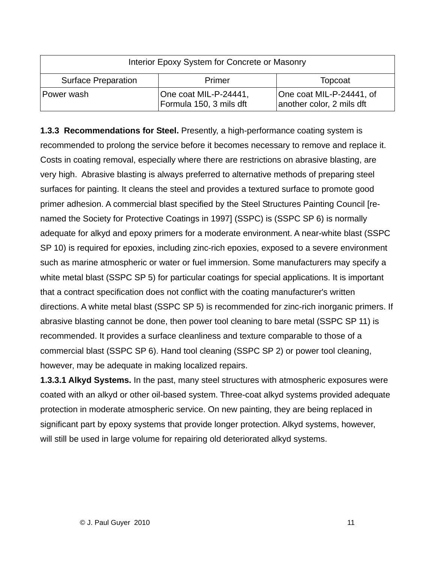| Interior Epoxy System for Concrete or Masonry |                                                  |                                                       |  |
|-----------------------------------------------|--------------------------------------------------|-------------------------------------------------------|--|
| <b>Surface Preparation</b>                    | Primer                                           | Topcoat                                               |  |
| Power wash                                    | One coat MIL-P-24441,<br>Formula 150, 3 mils dft | One coat MIL-P-24441, of<br>another color, 2 mils dft |  |

**1.3.3 Recommendations for Steel.** Presently, a high-performance coating system is recommended to prolong the service before it becomes necessary to remove and replace it. Costs in coating removal, especially where there are restrictions on abrasive blasting, are very high. Abrasive blasting is always preferred to alternative methods of preparing steel surfaces for painting. It cleans the steel and provides a textured surface to promote good primer adhesion. A commercial blast specified by the Steel Structures Painting Council [renamed the Society for Protective Coatings in 1997] (SSPC) is (SSPC SP 6) is normally adequate for alkyd and epoxy primers for a moderate environment. A near-white blast (SSPC SP 10) is required for epoxies, including zinc-rich epoxies, exposed to a severe environment such as marine atmospheric or water or fuel immersion. Some manufacturers may specify a white metal blast (SSPC SP 5) for particular coatings for special applications. It is important that a contract specification does not conflict with the coating manufacturer's written directions. A white metal blast (SSPC SP 5) is recommended for zinc-rich inorganic primers. If abrasive blasting cannot be done, then power tool cleaning to bare metal (SSPC SP 11) is recommended. It provides a surface cleanliness and texture comparable to those of a commercial blast (SSPC SP 6). Hand tool cleaning (SSPC SP 2) or power tool cleaning, however, may be adequate in making localized repairs.

**1.3.3.1 Alkyd Systems.** In the past, many steel structures with atmospheric exposures were coated with an alkyd or other oil-based system. Three-coat alkyd systems provided adequate protection in moderate atmospheric service. On new painting, they are being replaced in significant part by epoxy systems that provide longer protection. Alkyd systems, however, will still be used in large volume for repairing old deteriorated alkyd systems.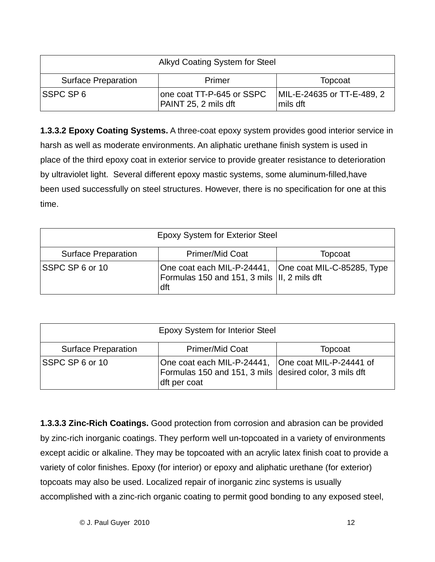| Alkyd Coating System for Steel |                                                   |                                        |
|--------------------------------|---------------------------------------------------|----------------------------------------|
| <b>Surface Preparation</b>     | Primer                                            | Topcoat                                |
| <b>SSPC SP6</b>                | one coat TT-P-645 or SSPC<br>PAINT 25, 2 mils dft | MIL-E-24635 or TT-E-489, 2<br>mils dft |

**1.3.3.2 Epoxy Coating Systems.** A three-coat epoxy system provides good interior service in harsh as well as moderate environments. An aliphatic urethane finish system is used in place of the third epoxy coat in exterior service to provide greater resistance to deterioration by ultraviolet light. Several different epoxy mastic systems, some aluminum-filled,have been used successfully on steel structures. However, there is no specification for one at this time.

| <b>Epoxy System for Exterior Steel</b> |                                                                                                                 |         |
|----------------------------------------|-----------------------------------------------------------------------------------------------------------------|---------|
| <b>Surface Preparation</b>             | <b>Primer/Mid Coat</b>                                                                                          | Topcoat |
| ISSPC SP 6 or 10                       | One coat each MIL-P-24441,   One coat MIL-C-85285, Type<br>Formulas 150 and 151, 3 mils   II, 2 mils dft<br>dft |         |

| <b>Epoxy System for Interior Steel</b> |                                                                                                                                |         |
|----------------------------------------|--------------------------------------------------------------------------------------------------------------------------------|---------|
| <b>Surface Preparation</b>             | <b>Primer/Mid Coat</b>                                                                                                         | Topcoat |
| SSPC SP 6 or 10                        | One coat each MIL-P-24441,   One coat MIL-P-24441 of<br>Formulas 150 and 151, 3 mils desired color, 3 mils dft<br>dft per coat |         |

**1.3.3.3 Zinc-Rich Coatings.** Good protection from corrosion and abrasion can be provided by zinc-rich inorganic coatings. They perform well un-topcoated in a variety of environments except acidic or alkaline. They may be topcoated with an acrylic latex finish coat to provide a variety of color finishes. Epoxy (for interior) or epoxy and aliphatic urethane (for exterior) topcoats may also be used. Localized repair of inorganic zinc systems is usually accomplished with a zinc-rich organic coating to permit good bonding to any exposed steel,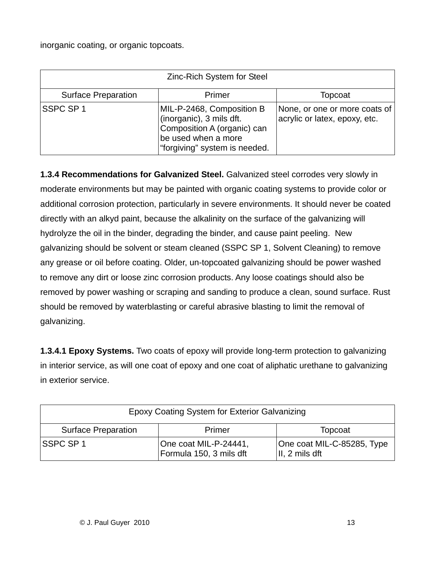inorganic coating, or organic topcoats.

| Zinc-Rich System for Steel |                                                                                                                                              |                                                                |
|----------------------------|----------------------------------------------------------------------------------------------------------------------------------------------|----------------------------------------------------------------|
| <b>Surface Preparation</b> | Primer                                                                                                                                       | Topcoat                                                        |
| SSPC SP <sub>1</sub>       | MIL-P-2468, Composition B<br>(inorganic), 3 mils dft.<br>Composition A (organic) can<br>be used when a more<br>"forgiving" system is needed. | None, or one or more coats of<br>acrylic or latex, epoxy, etc. |

**1.3.4 Recommendations for Galvanized Steel.** Galvanized steel corrodes very slowly in moderate environments but may be painted with organic coating systems to provide color or additional corrosion protection, particularly in severe environments. It should never be coated directly with an alkyd paint, because the alkalinity on the surface of the galvanizing will hydrolyze the oil in the binder, degrading the binder, and cause paint peeling. New galvanizing should be solvent or steam cleaned (SSPC SP 1, Solvent Cleaning) to remove any grease or oil before coating. Older, un-topcoated galvanizing should be power washed to remove any dirt or loose zinc corrosion products. Any loose coatings should also be removed by power washing or scraping and sanding to produce a clean, sound surface. Rust should be removed by waterblasting or careful abrasive blasting to limit the removal of galvanizing.

**1.3.4.1 Epoxy Systems.** Two coats of epoxy will provide long-term protection to galvanizing in interior service, as will one coat of epoxy and one coat of aliphatic urethane to galvanizing in exterior service.

| <b>Epoxy Coating System for Exterior Galvanizing</b> |                                                  |                                                          |
|------------------------------------------------------|--------------------------------------------------|----------------------------------------------------------|
| <b>Surface Preparation</b>                           | Primer                                           | Topcoat                                                  |
| <b>ISSPC SP1</b>                                     | One coat MIL-P-24441,<br>Formula 150, 3 mils dft | One coat MIL-C-85285, Type<br>$ II, 2 \text{ miles}$ dft |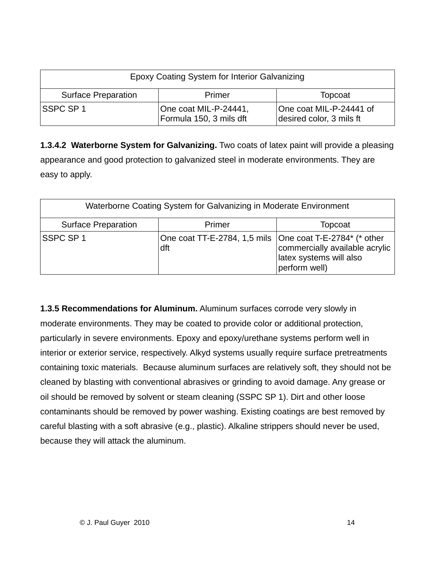| Epoxy Coating System for Interior Galvanizing |                                                  |                                                     |
|-----------------------------------------------|--------------------------------------------------|-----------------------------------------------------|
| <b>Surface Preparation</b>                    | Primer                                           | Topcoat                                             |
| <b>ISSPC SP1</b>                              | One coat MIL-P-24441,<br>Formula 150, 3 mils dft | One coat MIL-P-24441 of<br>desired color, 3 mils ft |

**1.3.4.2 Waterborne System for Galvanizing.** Two coats of latex paint will provide a pleasing appearance and good protection to galvanized steel in moderate environments. They are easy to apply.

| Waterborne Coating System for Galvanizing in Moderate Environment |                                                                   |                                                                                          |
|-------------------------------------------------------------------|-------------------------------------------------------------------|------------------------------------------------------------------------------------------|
| <b>Surface Preparation</b>                                        | Primer                                                            | Topcoat                                                                                  |
| SSPC SP <sub>1</sub>                                              | One coat TT-E-2784, 1,5 mils   One coat T-E-2784* (* other<br>dft | $\mid$ commercially available acrylic $\mid$<br>latex systems will also<br>perform well) |

**1.3.5 Recommendations for Aluminum.** Aluminum surfaces corrode very slowly in moderate environments. They may be coated to provide color or additional protection, particularly in severe environments. Epoxy and epoxy/urethane systems perform well in interior or exterior service, respectively. Alkyd systems usually require surface pretreatments containing toxic materials. Because aluminum surfaces are relatively soft, they should not be cleaned by blasting with conventional abrasives or grinding to avoid damage. Any grease or oil should be removed by solvent or steam cleaning (SSPC SP 1). Dirt and other loose contaminants should be removed by power washing. Existing coatings are best removed by careful blasting with a soft abrasive (e.g., plastic). Alkaline strippers should never be used, because they will attack the aluminum.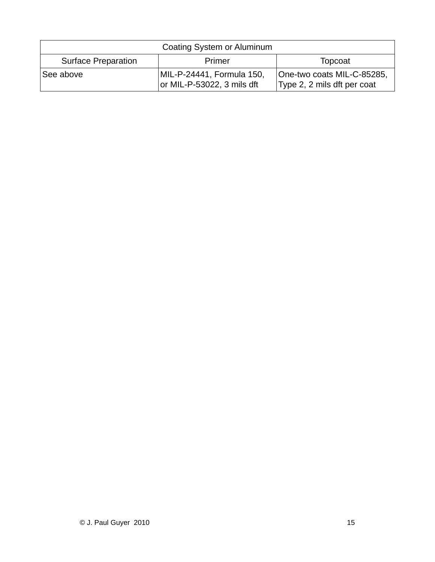| Coating System or Aluminum |                                                         |                                                           |
|----------------------------|---------------------------------------------------------|-----------------------------------------------------------|
| <b>Surface Preparation</b> | Primer                                                  | Topcoat                                                   |
| See above                  | MIL-P-24441, Formula 150,<br>or MIL-P-53022, 3 mils dft | One-two coats MIL-C-85285,<br>Type 2, 2 mils dft per coat |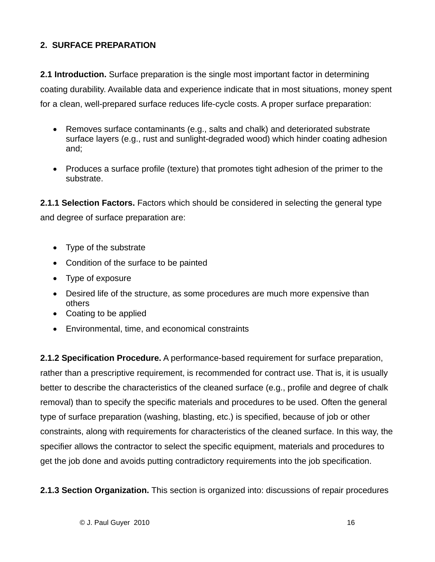#### **2. SURFACE PREPARATION**

**2.1 Introduction.** Surface preparation is the single most important factor in determining coating durability. Available data and experience indicate that in most situations, money spent for a clean, well-prepared surface reduces life-cycle costs. A proper surface preparation:

- Removes surface contaminants (e.g., salts and chalk) and deteriorated substrate surface layers (e.g., rust and sunlight-degraded wood) which hinder coating adhesion and;
- Produces a surface profile (texture) that promotes tight adhesion of the primer to the substrate.

**2.1.1 Selection Factors.** Factors which should be considered in selecting the general type and degree of surface preparation are:

- Type of the substrate
- Condition of the surface to be painted
- Type of exposure
- Desired life of the structure, as some procedures are much more expensive than others
- Coating to be applied
- Environmental, time, and economical constraints

**2.1.2 Specification Procedure.** A performance-based requirement for surface preparation, rather than a prescriptive requirement, is recommended for contract use. That is, it is usually better to describe the characteristics of the cleaned surface (e.g., profile and degree of chalk removal) than to specify the specific materials and procedures to be used. Often the general type of surface preparation (washing, blasting, etc.) is specified, because of job or other constraints, along with requirements for characteristics of the cleaned surface. In this way, the specifier allows the contractor to select the specific equipment, materials and procedures to get the job done and avoids putting contradictory requirements into the job specification.

**2.1.3 Section Organization.** This section is organized into: discussions of repair procedures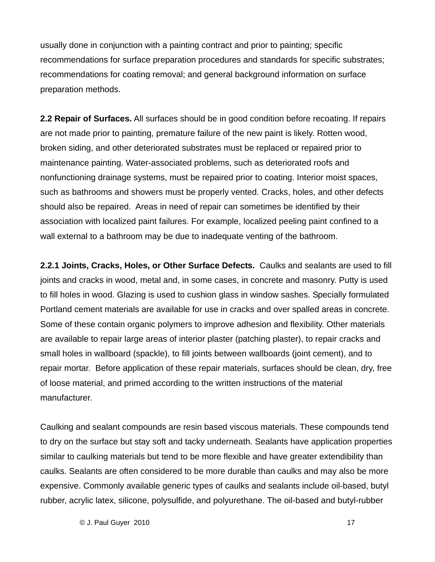usually done in conjunction with a painting contract and prior to painting; specific recommendations for surface preparation procedures and standards for specific substrates; recommendations for coating removal; and general background information on surface preparation methods.

**2.2 Repair of Surfaces.** All surfaces should be in good condition before recoating. If repairs are not made prior to painting, premature failure of the new paint is likely. Rotten wood, broken siding, and other deteriorated substrates must be replaced or repaired prior to maintenance painting. Water-associated problems, such as deteriorated roofs and nonfunctioning drainage systems, must be repaired prior to coating. Interior moist spaces, such as bathrooms and showers must be properly vented. Cracks, holes, and other defects should also be repaired. Areas in need of repair can sometimes be identified by their association with localized paint failures. For example, localized peeling paint confined to a wall external to a bathroom may be due to inadequate venting of the bathroom.

**2.2.1 Joints, Cracks, Holes, or Other Surface Defects.** Caulks and sealants are used to fill joints and cracks in wood, metal and, in some cases, in concrete and masonry. Putty is used to fill holes in wood. Glazing is used to cushion glass in window sashes. Specially formulated Portland cement materials are available for use in cracks and over spalled areas in concrete. Some of these contain organic polymers to improve adhesion and flexibility. Other materials are available to repair large areas of interior plaster (patching plaster), to repair cracks and small holes in wallboard (spackle), to fill joints between wallboards (joint cement), and to repair mortar. Before application of these repair materials, surfaces should be clean, dry, free of loose material, and primed according to the written instructions of the material manufacturer.

Caulking and sealant compounds are resin based viscous materials. These compounds tend to dry on the surface but stay soft and tacky underneath. Sealants have application properties similar to caulking materials but tend to be more flexible and have greater extendibility than caulks. Sealants are often considered to be more durable than caulks and may also be more expensive. Commonly available generic types of caulks and sealants include oil-based, butyl rubber, acrylic latex, silicone, polysulfide, and polyurethane. The oil-based and butyl-rubber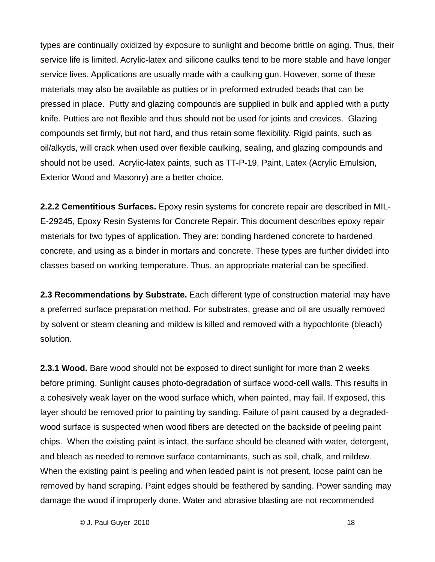types are continually oxidized by exposure to sunlight and become brittle on aging. Thus, their service life is limited. Acrylic-latex and silicone caulks tend to be more stable and have longer service lives. Applications are usually made with a caulking gun. However, some of these materials may also be available as putties or in preformed extruded beads that can be pressed in place. Putty and glazing compounds are supplied in bulk and applied with a putty knife. Putties are not flexible and thus should not be used for joints and crevices. Glazing compounds set firmly, but not hard, and thus retain some flexibility. Rigid paints, such as oil/alkyds, will crack when used over flexible caulking, sealing, and glazing compounds and should not be used. Acrylic-latex paints, such as TT-P-19, Paint, Latex (Acrylic Emulsion, Exterior Wood and Masonry) are a better choice.

**2.2.2 Cementitious Surfaces.** Epoxy resin systems for concrete repair are described in MIL-E-29245, Epoxy Resin Systems for Concrete Repair. This document describes epoxy repair materials for two types of application. They are: bonding hardened concrete to hardened concrete, and using as a binder in mortars and concrete. These types are further divided into classes based on working temperature. Thus, an appropriate material can be specified.

**2.3 Recommendations by Substrate.** Each different type of construction material may have a preferred surface preparation method. For substrates, grease and oil are usually removed by solvent or steam cleaning and mildew is killed and removed with a hypochlorite (bleach) solution.

**2.3.1 Wood.** Bare wood should not be exposed to direct sunlight for more than 2 weeks before priming. Sunlight causes photo-degradation of surface wood-cell walls. This results in a cohesively weak layer on the wood surface which, when painted, may fail. If exposed, this layer should be removed prior to painting by sanding. Failure of paint caused by a degradedwood surface is suspected when wood fibers are detected on the backside of peeling paint chips. When the existing paint is intact, the surface should be cleaned with water, detergent, and bleach as needed to remove surface contaminants, such as soil, chalk, and mildew. When the existing paint is peeling and when leaded paint is not present, loose paint can be removed by hand scraping. Paint edges should be feathered by sanding. Power sanding may damage the wood if improperly done. Water and abrasive blasting are not recommended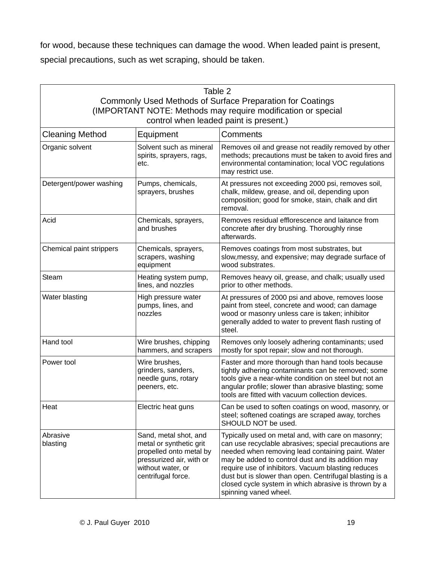for wood, because these techniques can damage the wood. When leaded paint is present, special precautions, such as wet scraping, should be taken.

| Table 2                                                                                                                   |                                                                                                                                                    |                                                                                                                                                                                                                                                                                                                                                                                                                         |  |  |
|---------------------------------------------------------------------------------------------------------------------------|----------------------------------------------------------------------------------------------------------------------------------------------------|-------------------------------------------------------------------------------------------------------------------------------------------------------------------------------------------------------------------------------------------------------------------------------------------------------------------------------------------------------------------------------------------------------------------------|--|--|
| Commonly Used Methods of Surface Preparation for Coatings<br>(IMPORTANT NOTE: Methods may require modification or special |                                                                                                                                                    |                                                                                                                                                                                                                                                                                                                                                                                                                         |  |  |
| control when leaded paint is present.)                                                                                    |                                                                                                                                                    |                                                                                                                                                                                                                                                                                                                                                                                                                         |  |  |
| <b>Cleaning Method</b>                                                                                                    | Equipment                                                                                                                                          | Comments                                                                                                                                                                                                                                                                                                                                                                                                                |  |  |
| Organic solvent                                                                                                           | Solvent such as mineral<br>spirits, sprayers, rags,<br>etc.                                                                                        | Removes oil and grease not readily removed by other<br>methods; precautions must be taken to avoid fires and<br>environmental contamination; local VOC regulations<br>may restrict use.                                                                                                                                                                                                                                 |  |  |
| Detergent/power washing                                                                                                   | Pumps, chemicals,<br>sprayers, brushes                                                                                                             | At pressures not exceeding 2000 psi, removes soil,<br>chalk, mildew, grease, and oil, depending upon<br>composition; good for smoke, stain, chalk and dirt<br>removal.                                                                                                                                                                                                                                                  |  |  |
| Acid                                                                                                                      | Chemicals, sprayers,<br>and brushes                                                                                                                | Removes residual efflorescence and laitance from<br>concrete after dry brushing. Thoroughly rinse<br>afterwards.                                                                                                                                                                                                                                                                                                        |  |  |
| Chemical paint strippers                                                                                                  | Chemicals, sprayers,<br>scrapers, washing<br>equipment                                                                                             | Removes coatings from most substrates, but<br>slow, messy, and expensive; may degrade surface of<br>wood substrates.                                                                                                                                                                                                                                                                                                    |  |  |
| Steam                                                                                                                     | Heating system pump,<br>lines, and nozzles                                                                                                         | Removes heavy oil, grease, and chalk; usually used<br>prior to other methods.                                                                                                                                                                                                                                                                                                                                           |  |  |
| Water blasting                                                                                                            | High pressure water<br>pumps, lines, and<br>nozzles                                                                                                | At pressures of 2000 psi and above, removes loose<br>paint from steel, concrete and wood; can damage<br>wood or masonry unless care is taken; inhibitor<br>generally added to water to prevent flash rusting of<br>steel.                                                                                                                                                                                               |  |  |
| Hand tool                                                                                                                 | Wire brushes, chipping<br>hammers, and scrapers                                                                                                    | Removes only loosely adhering contaminants; used<br>mostly for spot repair; slow and not thorough.                                                                                                                                                                                                                                                                                                                      |  |  |
| Power tool                                                                                                                | Wire brushes,<br>grinders, sanders,<br>needle guns, rotary<br>peeners, etc.                                                                        | Faster and more thorough than hand tools because<br>tightly adhering contaminants can be removed; some<br>tools give a near-white condition on steel but not an<br>angular profile; slower than abrasive blasting; some<br>tools are fitted with vacuum collection devices.                                                                                                                                             |  |  |
| Heat                                                                                                                      | Electric heat guns                                                                                                                                 | Can be used to soften coatings on wood, masonry, or<br>steel; softened coatings are scraped away, torches<br>SHOULD NOT be used.                                                                                                                                                                                                                                                                                        |  |  |
| Abrasive<br>blasting                                                                                                      | Sand, metal shot, and<br>metal or synthetic grit<br>propelled onto metal by<br>pressurized air, with or<br>without water, or<br>centrifugal force. | Typically used on metal and, with care on masonry;<br>can use recyclable abrasives; special precautions are<br>needed when removing lead containing paint. Water<br>may be added to control dust and its addition may<br>require use of inhibitors. Vacuum blasting reduces<br>dust but is slower than open. Centrifugal blasting is a<br>closed cycle system in which abrasive is thrown by a<br>spinning vaned wheel. |  |  |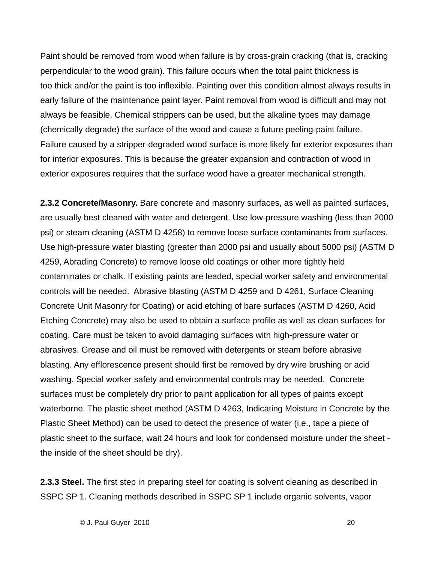Paint should be removed from wood when failure is by cross-grain cracking (that is, cracking perpendicular to the wood grain). This failure occurs when the total paint thickness is too thick and/or the paint is too inflexible. Painting over this condition almost always results in early failure of the maintenance paint layer. Paint removal from wood is difficult and may not always be feasible. Chemical strippers can be used, but the alkaline types may damage (chemically degrade) the surface of the wood and cause a future peeling-paint failure. Failure caused by a stripper-degraded wood surface is more likely for exterior exposures than for interior exposures. This is because the greater expansion and contraction of wood in exterior exposures requires that the surface wood have a greater mechanical strength.

**2.3.2 Concrete/Masonry.** Bare concrete and masonry surfaces, as well as painted surfaces, are usually best cleaned with water and detergent. Use low-pressure washing (less than 2000 psi) or steam cleaning (ASTM D 4258) to remove loose surface contaminants from surfaces. Use high-pressure water blasting (greater than 2000 psi and usually about 5000 psi) (ASTM D 4259, Abrading Concrete) to remove loose old coatings or other more tightly held contaminates or chalk. If existing paints are leaded, special worker safety and environmental controls will be needed. Abrasive blasting (ASTM D 4259 and D 4261, Surface Cleaning Concrete Unit Masonry for Coating) or acid etching of bare surfaces (ASTM D 4260, Acid Etching Concrete) may also be used to obtain a surface profile as well as clean surfaces for coating. Care must be taken to avoid damaging surfaces with high-pressure water or abrasives. Grease and oil must be removed with detergents or steam before abrasive blasting. Any efflorescence present should first be removed by dry wire brushing or acid washing. Special worker safety and environmental controls may be needed. Concrete surfaces must be completely dry prior to paint application for all types of paints except waterborne. The plastic sheet method (ASTM D 4263, Indicating Moisture in Concrete by the Plastic Sheet Method) can be used to detect the presence of water (i.e., tape a piece of plastic sheet to the surface, wait 24 hours and look for condensed moisture under the sheet the inside of the sheet should be dry).

**2.3.3 Steel.** The first step in preparing steel for coating is solvent cleaning as described in SSPC SP 1. Cleaning methods described in SSPC SP 1 include organic solvents, vapor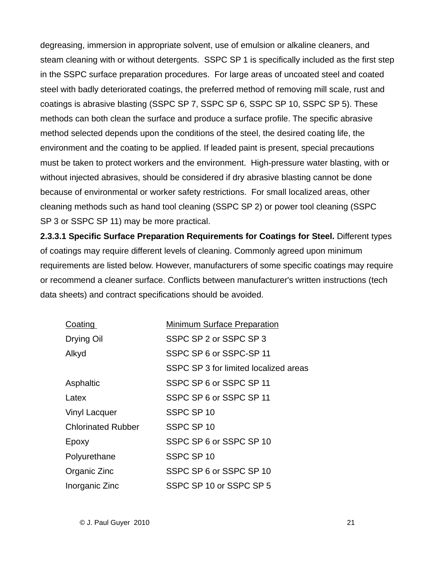degreasing, immersion in appropriate solvent, use of emulsion or alkaline cleaners, and steam cleaning with or without detergents. SSPC SP 1 is specifically included as the first step in the SSPC surface preparation procedures. For large areas of uncoated steel and coated steel with badly deteriorated coatings, the preferred method of removing mill scale, rust and coatings is abrasive blasting (SSPC SP 7, SSPC SP 6, SSPC SP 10, SSPC SP 5). These methods can both clean the surface and produce a surface profile. The specific abrasive method selected depends upon the conditions of the steel, the desired coating life, the environment and the coating to be applied. If leaded paint is present, special precautions must be taken to protect workers and the environment. High-pressure water blasting, with or without injected abrasives, should be considered if dry abrasive blasting cannot be done because of environmental or worker safety restrictions. For small localized areas, other cleaning methods such as hand tool cleaning (SSPC SP 2) or power tool cleaning (SSPC SP 3 or SSPC SP 11) may be more practical.

**2.3.3.1 Specific Surface Preparation Requirements for Coatings for Steel.** Different types of coatings may require different levels of cleaning. Commonly agreed upon minimum requirements are listed below. However, manufacturers of some specific coatings may require or recommend a cleaner surface. Conflicts between manufacturer's written instructions (tech data sheets) and contract specifications should be avoided.

| <b>Coating</b>            | <b>Minimum Surface Preparation</b>    |
|---------------------------|---------------------------------------|
| Drying Oil                | SSPC SP 2 or SSPC SP 3                |
| Alkyd                     | SSPC SP 6 or SSPC-SP 11               |
|                           | SSPC SP 3 for limited localized areas |
| Asphaltic                 | SSPC SP 6 or SSPC SP 11               |
| Latex                     | SSPC SP 6 or SSPC SP 11               |
| <b>Vinyl Lacquer</b>      | SSPC SP 10                            |
| <b>Chlorinated Rubber</b> | SSPC SP 10                            |
| Epoxy                     | SSPC SP 6 or SSPC SP 10               |
| Polyurethane              | SSPC SP 10                            |
| Organic Zinc              | SSPC SP 6 or SSPC SP 10               |
| Inorganic Zinc            | SSPC SP 10 or SSPC SP 5               |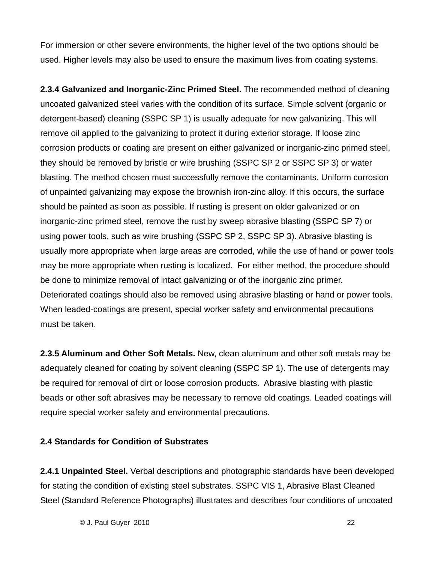For immersion or other severe environments, the higher level of the two options should be used. Higher levels may also be used to ensure the maximum lives from coating systems.

**2.3.4 Galvanized and Inorganic-Zinc Primed Steel.** The recommended method of cleaning uncoated galvanized steel varies with the condition of its surface. Simple solvent (organic or detergent-based) cleaning (SSPC SP 1) is usually adequate for new galvanizing. This will remove oil applied to the galvanizing to protect it during exterior storage. If loose zinc corrosion products or coating are present on either galvanized or inorganic-zinc primed steel, they should be removed by bristle or wire brushing (SSPC SP 2 or SSPC SP 3) or water blasting. The method chosen must successfully remove the contaminants. Uniform corrosion of unpainted galvanizing may expose the brownish iron-zinc alloy. If this occurs, the surface should be painted as soon as possible. If rusting is present on older galvanized or on inorganic-zinc primed steel, remove the rust by sweep abrasive blasting (SSPC SP 7) or using power tools, such as wire brushing (SSPC SP 2, SSPC SP 3). Abrasive blasting is usually more appropriate when large areas are corroded, while the use of hand or power tools may be more appropriate when rusting is localized. For either method, the procedure should be done to minimize removal of intact galvanizing or of the inorganic zinc primer. Deteriorated coatings should also be removed using abrasive blasting or hand or power tools. When leaded-coatings are present, special worker safety and environmental precautions must be taken.

**2.3.5 Aluminum and Other Soft Metals.** New, clean aluminum and other soft metals may be adequately cleaned for coating by solvent cleaning (SSPC SP 1). The use of detergents may be required for removal of dirt or loose corrosion products. Abrasive blasting with plastic beads or other soft abrasives may be necessary to remove old coatings. Leaded coatings will require special worker safety and environmental precautions.

#### **2.4 Standards for Condition of Substrates**

**2.4.1 Unpainted Steel.** Verbal descriptions and photographic standards have been developed for stating the condition of existing steel substrates. SSPC VIS 1, Abrasive Blast Cleaned Steel (Standard Reference Photographs) illustrates and describes four conditions of uncoated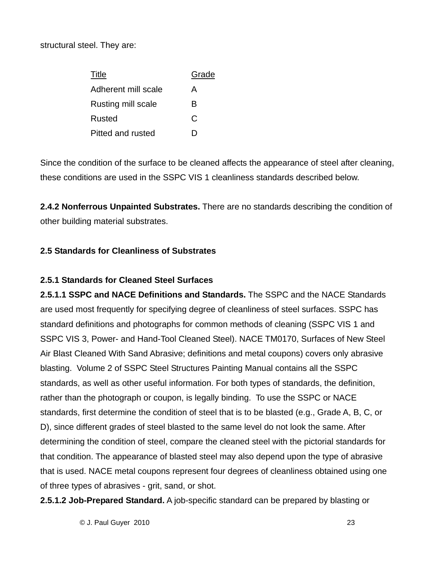#### structural steel. They are:

| Title               | Grade |
|---------------------|-------|
| Adherent mill scale | А     |
| Rusting mill scale  | R     |
| Rusted              | C.    |
| Pitted and rusted   | ו ו   |

Since the condition of the surface to be cleaned affects the appearance of steel after cleaning, these conditions are used in the SSPC VIS 1 cleanliness standards described below.

**2.4.2 Nonferrous Unpainted Substrates.** There are no standards describing the condition of other building material substrates.

#### **2.5 Standards for Cleanliness of Substrates**

#### **2.5.1 Standards for Cleaned Steel Surfaces**

**2.5.1.1 SSPC and NACE Definitions and Standards.** The SSPC and the NACE Standards are used most frequently for specifying degree of cleanliness of steel surfaces. SSPC has standard definitions and photographs for common methods of cleaning (SSPC VIS 1 and SSPC VIS 3, Power- and Hand-Tool Cleaned Steel). NACE TM0170, Surfaces of New Steel Air Blast Cleaned With Sand Abrasive; definitions and metal coupons) covers only abrasive blasting. Volume 2 of SSPC Steel Structures Painting Manual contains all the SSPC standards, as well as other useful information. For both types of standards, the definition, rather than the photograph or coupon, is legally binding. To use the SSPC or NACE standards, first determine the condition of steel that is to be blasted (e.g., Grade A, B, C, or D), since different grades of steel blasted to the same level do not look the same. After determining the condition of steel, compare the cleaned steel with the pictorial standards for that condition. The appearance of blasted steel may also depend upon the type of abrasive that is used. NACE metal coupons represent four degrees of cleanliness obtained using one of three types of abrasives - grit, sand, or shot.

**2.5.1.2 Job-Prepared Standard.** A job-specific standard can be prepared by blasting or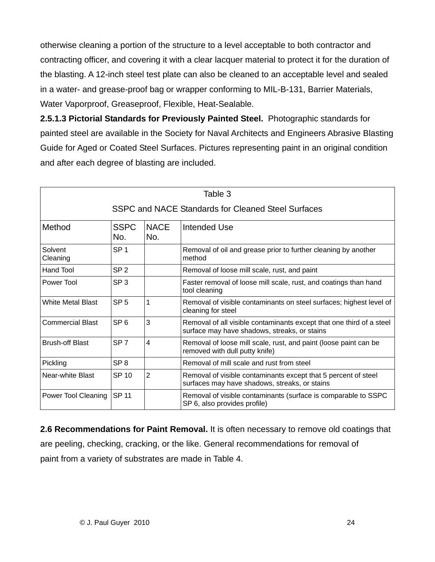otherwise cleaning a portion of the structure to a level acceptable to both contractor and contracting officer, and covering it with a clear lacquer material to protect it for the duration of the blasting. A 12-inch steel test plate can also be cleaned to an acceptable level and sealed in a water- and grease-proof bag or wrapper conforming to MIL-B-131, Barrier Materials, Water Vaporproof, Greaseproof, Flexible, Heat-Sealable.

**2.5.1.3 Pictorial Standards for Previously Painted Steel.** Photographic standards for painted steel are available in the Society for Naval Architects and Engineers Abrasive Blasting Guide for Aged or Coated Steel Surfaces. Pictures representing paint in an original condition and after each degree of blasting are included.

|                          |                                                    |                    | Table 3                                                                                                              |
|--------------------------|----------------------------------------------------|--------------------|----------------------------------------------------------------------------------------------------------------------|
|                          | SSPC and NACE Standards for Cleaned Steel Surfaces |                    |                                                                                                                      |
| Method                   | <b>SSPC</b><br>No.                                 | <b>NACE</b><br>No. | Intended Use                                                                                                         |
| Solvent<br>Cleaning      | SP <sub>1</sub>                                    |                    | Removal of oil and grease prior to further cleaning by another<br>method                                             |
| Hand Tool                | SP <sub>2</sub>                                    |                    | Removal of loose mill scale, rust, and paint                                                                         |
| Power Tool               | SP <sub>3</sub>                                    |                    | Faster removal of loose mill scale, rust, and coatings than hand<br>tool cleaning                                    |
| <b>White Metal Blast</b> | SP <sub>5</sub>                                    | $\mathbf{1}$       | Removal of visible contaminants on steel surfaces; highest level of<br>cleaning for steel                            |
| Commercial Blast         | SP <sub>6</sub>                                    | 3                  | Removal of all visible contaminants except that one third of a steel<br>surface may have shadows, streaks, or stains |
| <b>Brush-off Blast</b>   | SP <sub>7</sub>                                    | $\overline{4}$     | Removal of loose mill scale, rust, and paint (loose paint can be<br>removed with dull putty knife)                   |
| Pickling                 | SP <sub>8</sub>                                    |                    | Removal of mill scale and rust from steel                                                                            |
| Near-white Blast         | SP 10                                              | $\overline{2}$     | Removal of visible contaminants except that 5 percent of steel<br>surfaces may have shadows, streaks, or stains      |
| Power Tool Cleaning      | SP 11                                              |                    | Removal of visible contaminants (surface is comparable to SSPC<br>SP 6, also provides profile)                       |

**2.6 Recommendations for Paint Removal.** It is often necessary to remove old coatings that are peeling, checking, cracking, or the like. General recommendations for removal of paint from a variety of substrates are made in Table 4.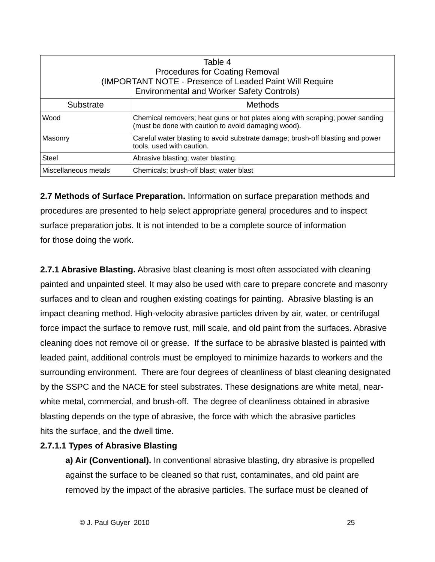| Table 4<br><b>Procedures for Coating Removal</b><br>(IMPORTANT NOTE - Presence of Leaded Paint Will Require<br><b>Environmental and Worker Safety Controls)</b> |                                                                                                                                      |  |
|-----------------------------------------------------------------------------------------------------------------------------------------------------------------|--------------------------------------------------------------------------------------------------------------------------------------|--|
| Substrate                                                                                                                                                       | <b>Methods</b>                                                                                                                       |  |
| Wood                                                                                                                                                            | Chemical removers; heat guns or hot plates along with scraping; power sanding<br>(must be done with caution to avoid damaging wood). |  |
| Masonry                                                                                                                                                         | Careful water blasting to avoid substrate damage; brush-off blasting and power<br>tools, used with caution.                          |  |
| <b>Steel</b>                                                                                                                                                    | Abrasive blasting; water blasting.                                                                                                   |  |
| Miscellaneous metals                                                                                                                                            | Chemicals; brush-off blast; water blast                                                                                              |  |

**2.7 Methods of Surface Preparation.** Information on surface preparation methods and procedures are presented to help select appropriate general procedures and to inspect surface preparation jobs. It is not intended to be a complete source of information for those doing the work.

**2.7.1 Abrasive Blasting.** Abrasive blast cleaning is most often associated with cleaning painted and unpainted steel. It may also be used with care to prepare concrete and masonry surfaces and to clean and roughen existing coatings for painting. Abrasive blasting is an impact cleaning method. High-velocity abrasive particles driven by air, water, or centrifugal force impact the surface to remove rust, mill scale, and old paint from the surfaces. Abrasive cleaning does not remove oil or grease. If the surface to be abrasive blasted is painted with leaded paint, additional controls must be employed to minimize hazards to workers and the surrounding environment. There are four degrees of cleanliness of blast cleaning designated by the SSPC and the NACE for steel substrates. These designations are white metal, nearwhite metal, commercial, and brush-off. The degree of cleanliness obtained in abrasive blasting depends on the type of abrasive, the force with which the abrasive particles hits the surface, and the dwell time.

#### **2.7.1.1 Types of Abrasive Blasting**

**a) Air (Conventional).** In conventional abrasive blasting, dry abrasive is propelled against the surface to be cleaned so that rust, contaminates, and old paint are removed by the impact of the abrasive particles. The surface must be cleaned of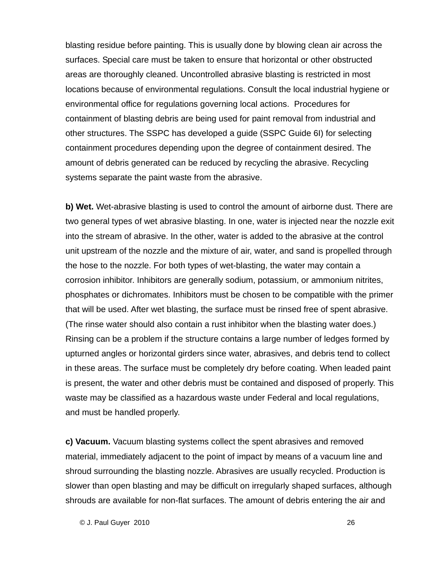blasting residue before painting. This is usually done by blowing clean air across the surfaces. Special care must be taken to ensure that horizontal or other obstructed areas are thoroughly cleaned. Uncontrolled abrasive blasting is restricted in most locations because of environmental regulations. Consult the local industrial hygiene or environmental office for regulations governing local actions. Procedures for containment of blasting debris are being used for paint removal from industrial and other structures. The SSPC has developed a guide (SSPC Guide 6I) for selecting containment procedures depending upon the degree of containment desired. The amount of debris generated can be reduced by recycling the abrasive. Recycling systems separate the paint waste from the abrasive.

**b) Wet.** Wet-abrasive blasting is used to control the amount of airborne dust. There are two general types of wet abrasive blasting. In one, water is injected near the nozzle exit into the stream of abrasive. In the other, water is added to the abrasive at the control unit upstream of the nozzle and the mixture of air, water, and sand is propelled through the hose to the nozzle. For both types of wet-blasting, the water may contain a corrosion inhibitor. Inhibitors are generally sodium, potassium, or ammonium nitrites, phosphates or dichromates. Inhibitors must be chosen to be compatible with the primer that will be used. After wet blasting, the surface must be rinsed free of spent abrasive. (The rinse water should also contain a rust inhibitor when the blasting water does.) Rinsing can be a problem if the structure contains a large number of ledges formed by upturned angles or horizontal girders since water, abrasives, and debris tend to collect in these areas. The surface must be completely dry before coating. When leaded paint is present, the water and other debris must be contained and disposed of properly. This waste may be classified as a hazardous waste under Federal and local regulations, and must be handled properly.

**c) Vacuum.** Vacuum blasting systems collect the spent abrasives and removed material, immediately adjacent to the point of impact by means of a vacuum line and shroud surrounding the blasting nozzle. Abrasives are usually recycled. Production is slower than open blasting and may be difficult on irregularly shaped surfaces, although shrouds are available for non-flat surfaces. The amount of debris entering the air and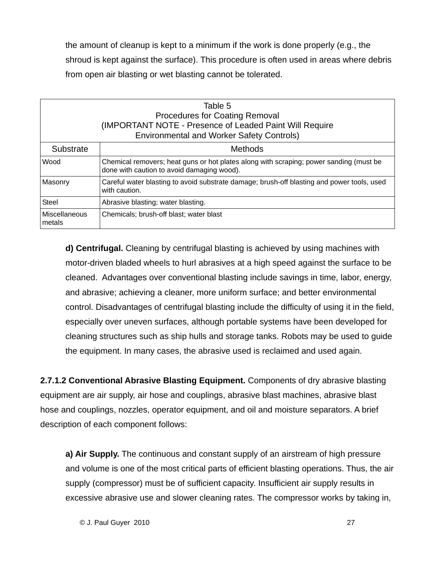the amount of cleanup is kept to a minimum if the work is done properly (e.g., the shroud is kept against the surface). This procedure is often used in areas where debris from open air blasting or wet blasting cannot be tolerated.

|                                | Table 5<br><b>Procedures for Coating Removal</b><br>(IMPORTANT NOTE - Presence of Leaded Paint Will Require<br><b>Environmental and Worker Safety Controls)</b> |
|--------------------------------|-----------------------------------------------------------------------------------------------------------------------------------------------------------------|
| Substrate                      | <b>Methods</b>                                                                                                                                                  |
| Wood                           | Chemical removers; heat guns or hot plates along with scraping; power sanding (must be<br>done with caution to avoid damaging wood).                            |
| Masonry                        | Careful water blasting to avoid substrate damage; brush-off blasting and power tools, used<br>with caution.                                                     |
| Steel                          | Abrasive blasting; water blasting.                                                                                                                              |
| <b>Miscellaneous</b><br>metals | Chemicals; brush-off blast; water blast                                                                                                                         |

**d) Centrifugal.** Cleaning by centrifugal blasting is achieved by using machines with motor-driven bladed wheels to hurl abrasives at a high speed against the surface to be cleaned. Advantages over conventional blasting include savings in time, labor, energy, and abrasive; achieving a cleaner, more uniform surface; and better environmental control. Disadvantages of centrifugal blasting include the difficulty of using it in the field, especially over uneven surfaces, although portable systems have been developed for cleaning structures such as ship hulls and storage tanks. Robots may be used to guide the equipment. In many cases, the abrasive used is reclaimed and used again.

**2.7.1.2 Conventional Abrasive Blasting Equipment.** Components of dry abrasive blasting equipment are air supply, air hose and couplings, abrasive blast machines, abrasive blast hose and couplings, nozzles, operator equipment, and oil and moisture separators. A brief description of each component follows:

**a) Air Supply.** The continuous and constant supply of an airstream of high pressure and volume is one of the most critical parts of efficient blasting operations. Thus, the air supply (compressor) must be of sufficient capacity. Insufficient air supply results in excessive abrasive use and slower cleaning rates. The compressor works by taking in,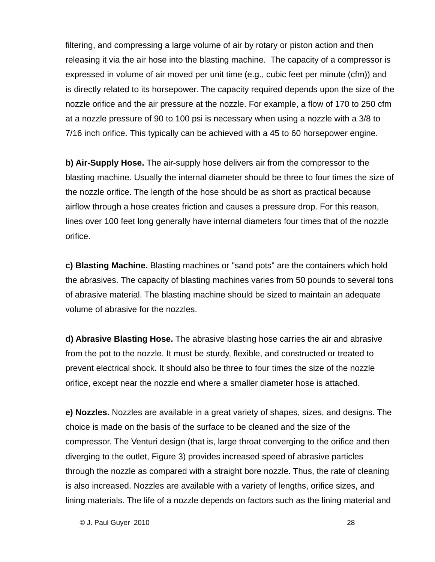filtering, and compressing a large volume of air by rotary or piston action and then releasing it via the air hose into the blasting machine. The capacity of a compressor is expressed in volume of air moved per unit time (e.g., cubic feet per minute (cfm)) and is directly related to its horsepower. The capacity required depends upon the size of the nozzle orifice and the air pressure at the nozzle. For example, a flow of 170 to 250 cfm at a nozzle pressure of 90 to 100 psi is necessary when using a nozzle with a 3/8 to 7/16 inch orifice. This typically can be achieved with a 45 to 60 horsepower engine.

**b) Air-Supply Hose.** The air-supply hose delivers air from the compressor to the blasting machine. Usually the internal diameter should be three to four times the size of the nozzle orifice. The length of the hose should be as short as practical because airflow through a hose creates friction and causes a pressure drop. For this reason, lines over 100 feet long generally have internal diameters four times that of the nozzle orifice.

**c) Blasting Machine.** Blasting machines or "sand pots" are the containers which hold the abrasives. The capacity of blasting machines varies from 50 pounds to several tons of abrasive material. The blasting machine should be sized to maintain an adequate volume of abrasive for the nozzles.

**d) Abrasive Blasting Hose.** The abrasive blasting hose carries the air and abrasive from the pot to the nozzle. It must be sturdy, flexible, and constructed or treated to prevent electrical shock. It should also be three to four times the size of the nozzle orifice, except near the nozzle end where a smaller diameter hose is attached.

**e) Nozzles.** Nozzles are available in a great variety of shapes, sizes, and designs. The choice is made on the basis of the surface to be cleaned and the size of the compressor. The Venturi design (that is, large throat converging to the orifice and then diverging to the outlet, Figure 3) provides increased speed of abrasive particles through the nozzle as compared with a straight bore nozzle. Thus, the rate of cleaning is also increased. Nozzles are available with a variety of lengths, orifice sizes, and lining materials. The life of a nozzle depends on factors such as the lining material and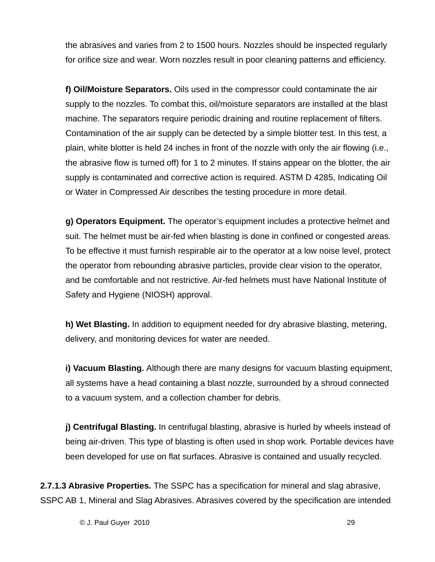the abrasives and varies from 2 to 1500 hours. Nozzles should be inspected regularly for orifice size and wear. Worn nozzles result in poor cleaning patterns and efficiency.

**f) Oil/Moisture Separators.** Oils used in the compressor could contaminate the air supply to the nozzles. To combat this, oil/moisture separators are installed at the blast machine. The separators require periodic draining and routine replacement of filters. Contamination of the air supply can be detected by a simple blotter test. In this test, a plain, white blotter is held 24 inches in front of the nozzle with only the air flowing (i.e., the abrasive flow is turned off) for 1 to 2 minutes. If stains appear on the blotter, the air supply is contaminated and corrective action is required. ASTM D 4285, Indicating Oil or Water in Compressed Air describes the testing procedure in more detail.

**g) Operators Equipment.** The operator's equipment includes a protective helmet and suit. The helmet must be air-fed when blasting is done in confined or congested areas. To be effective it must furnish respirable air to the operator at a low noise level, protect the operator from rebounding abrasive particles, provide clear vision to the operator, and be comfortable and not restrictive. Air-fed helmets must have National Institute of Safety and Hygiene (NIOSH) approval.

**h) Wet Blasting.** In addition to equipment needed for dry abrasive blasting, metering, delivery, and monitoring devices for water are needed.

**i) Vacuum Blasting.** Although there are many designs for vacuum blasting equipment, all systems have a head containing a blast nozzle, surrounded by a shroud connected to a vacuum system, and a collection chamber for debris.

**j) Centrifugal Blasting.** In centrifugal blasting, abrasive is hurled by wheels instead of being air-driven. This type of blasting is often used in shop work. Portable devices have been developed for use on flat surfaces. Abrasive is contained and usually recycled.

**2.7.1.3 Abrasive Properties.** The SSPC has a specification for mineral and slag abrasive, SSPC AB 1, Mineral and Slag Abrasives. Abrasives covered by the specification are intended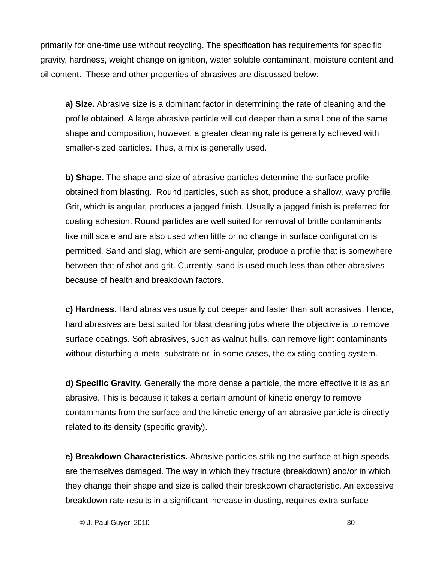primarily for one-time use without recycling. The specification has requirements for specific gravity, hardness, weight change on ignition, water soluble contaminant, moisture content and oil content. These and other properties of abrasives are discussed below:

**a) Size.** Abrasive size is a dominant factor in determining the rate of cleaning and the profile obtained. A large abrasive particle will cut deeper than a small one of the same shape and composition, however, a greater cleaning rate is generally achieved with smaller-sized particles. Thus, a mix is generally used.

**b) Shape.** The shape and size of abrasive particles determine the surface profile obtained from blasting. Round particles, such as shot, produce a shallow, wavy profile. Grit, which is angular, produces a jagged finish. Usually a jagged finish is preferred for coating adhesion. Round particles are well suited for removal of brittle contaminants like mill scale and are also used when little or no change in surface configuration is permitted. Sand and slag, which are semi-angular, produce a profile that is somewhere between that of shot and grit. Currently, sand is used much less than other abrasives because of health and breakdown factors.

**c) Hardness.** Hard abrasives usually cut deeper and faster than soft abrasives. Hence, hard abrasives are best suited for blast cleaning jobs where the objective is to remove surface coatings. Soft abrasives, such as walnut hulls, can remove light contaminants without disturbing a metal substrate or, in some cases, the existing coating system.

**d) Specific Gravity.** Generally the more dense a particle, the more effective it is as an abrasive. This is because it takes a certain amount of kinetic energy to remove contaminants from the surface and the kinetic energy of an abrasive particle is directly related to its density (specific gravity).

**e) Breakdown Characteristics.** Abrasive particles striking the surface at high speeds are themselves damaged. The way in which they fracture (breakdown) and/or in which they change their shape and size is called their breakdown characteristic. An excessive breakdown rate results in a significant increase in dusting, requires extra surface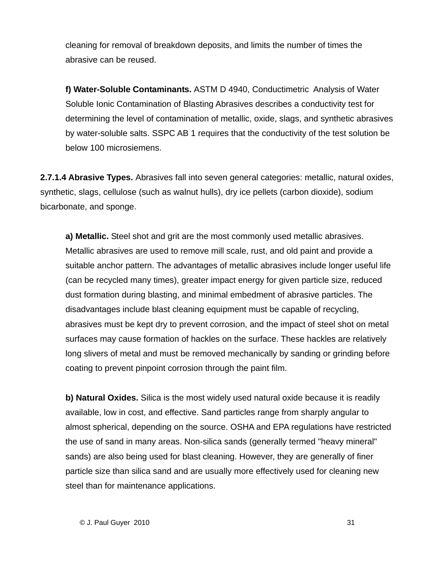cleaning for removal of breakdown deposits, and limits the number of times the abrasive can be reused.

**f) Water-Soluble Contaminants.** ASTM D 4940, Conductimetric Analysis of Water Soluble Ionic Contamination of Blasting Abrasives describes a conductivity test for determining the level of contamination of metallic, oxide, slags, and synthetic abrasives by water-soluble salts. SSPC AB 1 requires that the conductivity of the test solution be below 100 microsiemens.

**2.7.1.4 Abrasive Types.** Abrasives fall into seven general categories: metallic, natural oxides, synthetic, slags, cellulose (such as walnut hulls), dry ice pellets (carbon dioxide), sodium bicarbonate, and sponge.

**a) Metallic.** Steel shot and grit are the most commonly used metallic abrasives. Metallic abrasives are used to remove mill scale, rust, and old paint and provide a suitable anchor pattern. The advantages of metallic abrasives include longer useful life (can be recycled many times), greater impact energy for given particle size, reduced dust formation during blasting, and minimal embedment of abrasive particles. The disadvantages include blast cleaning equipment must be capable of recycling, abrasives must be kept dry to prevent corrosion, and the impact of steel shot on metal surfaces may cause formation of hackles on the surface. These hackles are relatively long slivers of metal and must be removed mechanically by sanding or grinding before coating to prevent pinpoint corrosion through the paint film.

**b) Natural Oxides.** Silica is the most widely used natural oxide because it is readily available, low in cost, and effective. Sand particles range from sharply angular to almost spherical, depending on the source. OSHA and EPA regulations have restricted the use of sand in many areas. Non-silica sands (generally termed "heavy mineral" sands) are also being used for blast cleaning. However, they are generally of finer particle size than silica sand and are usually more effectively used for cleaning new steel than for maintenance applications.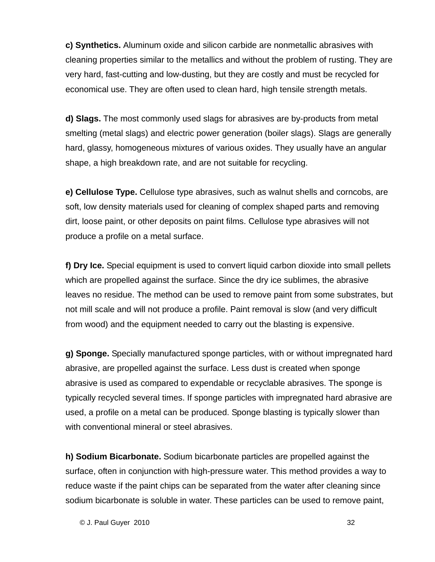**c) Synthetics.** Aluminum oxide and silicon carbide are nonmetallic abrasives with cleaning properties similar to the metallics and without the problem of rusting. They are very hard, fast-cutting and low-dusting, but they are costly and must be recycled for economical use. They are often used to clean hard, high tensile strength metals.

**d) Slags.** The most commonly used slags for abrasives are by-products from metal smelting (metal slags) and electric power generation (boiler slags). Slags are generally hard, glassy, homogeneous mixtures of various oxides. They usually have an angular shape, a high breakdown rate, and are not suitable for recycling.

**e) Cellulose Type.** Cellulose type abrasives, such as walnut shells and corncobs, are soft, low density materials used for cleaning of complex shaped parts and removing dirt, loose paint, or other deposits on paint films. Cellulose type abrasives will not produce a profile on a metal surface.

**f) Dry Ice.** Special equipment is used to convert liquid carbon dioxide into small pellets which are propelled against the surface. Since the dry ice sublimes, the abrasive leaves no residue. The method can be used to remove paint from some substrates, but not mill scale and will not produce a profile. Paint removal is slow (and very difficult from wood) and the equipment needed to carry out the blasting is expensive.

**g) Sponge.** Specially manufactured sponge particles, with or without impregnated hard abrasive, are propelled against the surface. Less dust is created when sponge abrasive is used as compared to expendable or recyclable abrasives. The sponge is typically recycled several times. If sponge particles with impregnated hard abrasive are used, a profile on a metal can be produced. Sponge blasting is typically slower than with conventional mineral or steel abrasives.

**h) Sodium Bicarbonate.** Sodium bicarbonate particles are propelled against the surface, often in conjunction with high-pressure water. This method provides a way to reduce waste if the paint chips can be separated from the water after cleaning since sodium bicarbonate is soluble in water. These particles can be used to remove paint,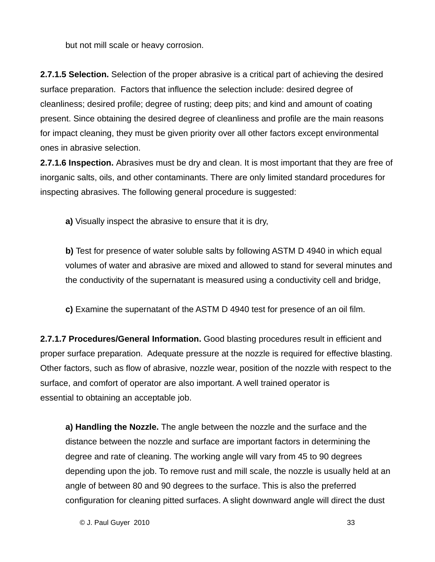but not mill scale or heavy corrosion.

**2.7.1.5 Selection.** Selection of the proper abrasive is a critical part of achieving the desired surface preparation. Factors that influence the selection include: desired degree of cleanliness; desired profile; degree of rusting; deep pits; and kind and amount of coating present. Since obtaining the desired degree of cleanliness and profile are the main reasons for impact cleaning, they must be given priority over all other factors except environmental ones in abrasive selection.

**2.7.1.6 Inspection.** Abrasives must be dry and clean. It is most important that they are free of inorganic salts, oils, and other contaminants. There are only limited standard procedures for inspecting abrasives. The following general procedure is suggested:

**a)** Visually inspect the abrasive to ensure that it is dry,

**b)** Test for presence of water soluble salts by following ASTM D 4940 in which equal volumes of water and abrasive are mixed and allowed to stand for several minutes and the conductivity of the supernatant is measured using a conductivity cell and bridge,

**c)** Examine the supernatant of the ASTM D 4940 test for presence of an oil film.

**2.7.1.7 Procedures/General Information.** Good blasting procedures result in efficient and proper surface preparation. Adequate pressure at the nozzle is required for effective blasting. Other factors, such as flow of abrasive, nozzle wear, position of the nozzle with respect to the surface, and comfort of operator are also important. A well trained operator is essential to obtaining an acceptable job.

**a) Handling the Nozzle.** The angle between the nozzle and the surface and the distance between the nozzle and surface are important factors in determining the degree and rate of cleaning. The working angle will vary from 45 to 90 degrees depending upon the job. To remove rust and mill scale, the nozzle is usually held at an angle of between 80 and 90 degrees to the surface. This is also the preferred configuration for cleaning pitted surfaces. A slight downward angle will direct the dust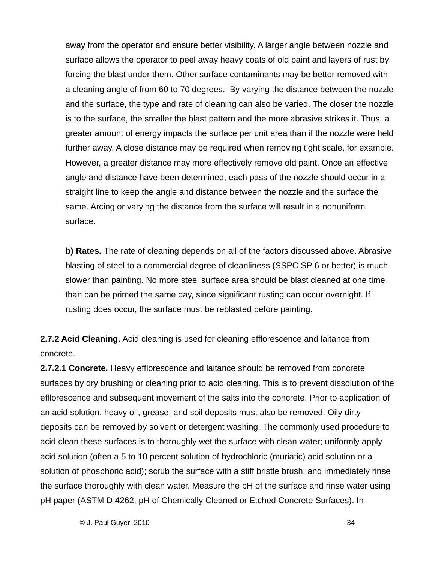away from the operator and ensure better visibility. A larger angle between nozzle and surface allows the operator to peel away heavy coats of old paint and layers of rust by forcing the blast under them. Other surface contaminants may be better removed with a cleaning angle of from 60 to 70 degrees. By varying the distance between the nozzle and the surface, the type and rate of cleaning can also be varied. The closer the nozzle is to the surface, the smaller the blast pattern and the more abrasive strikes it. Thus, a greater amount of energy impacts the surface per unit area than if the nozzle were held further away. A close distance may be required when removing tight scale, for example. However, a greater distance may more effectively remove old paint. Once an effective angle and distance have been determined, each pass of the nozzle should occur in a straight line to keep the angle and distance between the nozzle and the surface the same. Arcing or varying the distance from the surface will result in a nonuniform surface.

**b) Rates.** The rate of cleaning depends on all of the factors discussed above. Abrasive blasting of steel to a commercial degree of cleanliness (SSPC SP 6 or better) is much slower than painting. No more steel surface area should be blast cleaned at one time than can be primed the same day, since significant rusting can occur overnight. If rusting does occur, the surface must be reblasted before painting.

**2.7.2 Acid Cleaning.** Acid cleaning is used for cleaning efflorescence and laitance from concrete.

**2.7.2.1 Concrete.** Heavy efflorescence and laitance should be removed from concrete surfaces by dry brushing or cleaning prior to acid cleaning. This is to prevent dissolution of the efflorescence and subsequent movement of the salts into the concrete. Prior to application of an acid solution, heavy oil, grease, and soil deposits must also be removed. Oily dirty deposits can be removed by solvent or detergent washing. The commonly used procedure to acid clean these surfaces is to thoroughly wet the surface with clean water; uniformly apply acid solution (often a 5 to 10 percent solution of hydrochloric (muriatic) acid solution or a solution of phosphoric acid); scrub the surface with a stiff bristle brush; and immediately rinse the surface thoroughly with clean water. Measure the pH of the surface and rinse water using pH paper (ASTM D 4262, pH of Chemically Cleaned or Etched Concrete Surfaces). In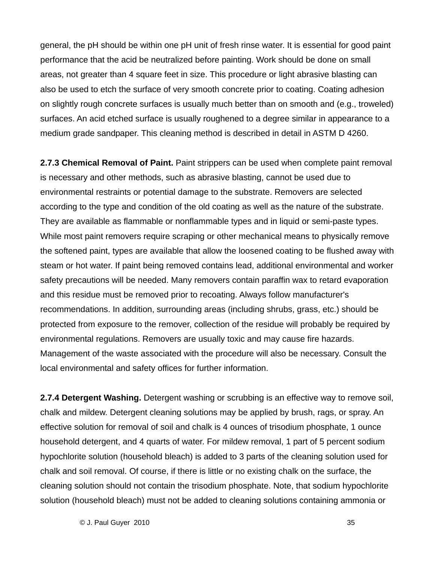general, the pH should be within one pH unit of fresh rinse water. It is essential for good paint performance that the acid be neutralized before painting. Work should be done on small areas, not greater than 4 square feet in size. This procedure or light abrasive blasting can also be used to etch the surface of very smooth concrete prior to coating. Coating adhesion on slightly rough concrete surfaces is usually much better than on smooth and (e.g., troweled) surfaces. An acid etched surface is usually roughened to a degree similar in appearance to a medium grade sandpaper. This cleaning method is described in detail in ASTM D 4260.

**2.7.3 Chemical Removal of Paint.** Paint strippers can be used when complete paint removal is necessary and other methods, such as abrasive blasting, cannot be used due to environmental restraints or potential damage to the substrate. Removers are selected according to the type and condition of the old coating as well as the nature of the substrate. They are available as flammable or nonflammable types and in liquid or semi-paste types. While most paint removers require scraping or other mechanical means to physically remove the softened paint, types are available that allow the loosened coating to be flushed away with steam or hot water. If paint being removed contains lead, additional environmental and worker safety precautions will be needed. Many removers contain paraffin wax to retard evaporation and this residue must be removed prior to recoating. Always follow manufacturer's recommendations. In addition, surrounding areas (including shrubs, grass, etc.) should be protected from exposure to the remover, collection of the residue will probably be required by environmental regulations. Removers are usually toxic and may cause fire hazards. Management of the waste associated with the procedure will also be necessary. Consult the local environmental and safety offices for further information.

**2.7.4 Detergent Washing.** Detergent washing or scrubbing is an effective way to remove soil, chalk and mildew. Detergent cleaning solutions may be applied by brush, rags, or spray. An effective solution for removal of soil and chalk is 4 ounces of trisodium phosphate, 1 ounce household detergent, and 4 quarts of water. For mildew removal, 1 part of 5 percent sodium hypochlorite solution (household bleach) is added to 3 parts of the cleaning solution used for chalk and soil removal. Of course, if there is little or no existing chalk on the surface, the cleaning solution should not contain the trisodium phosphate. Note, that sodium hypochlorite solution (household bleach) must not be added to cleaning solutions containing ammonia or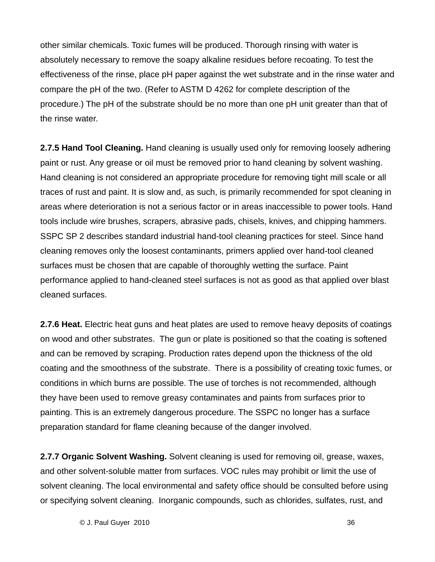other similar chemicals. Toxic fumes will be produced. Thorough rinsing with water is absolutely necessary to remove the soapy alkaline residues before recoating. To test the effectiveness of the rinse, place pH paper against the wet substrate and in the rinse water and compare the pH of the two. (Refer to ASTM D 4262 for complete description of the procedure.) The pH of the substrate should be no more than one pH unit greater than that of the rinse water.

**2.7.5 Hand Tool Cleaning.** Hand cleaning is usually used only for removing loosely adhering paint or rust. Any grease or oil must be removed prior to hand cleaning by solvent washing. Hand cleaning is not considered an appropriate procedure for removing tight mill scale or all traces of rust and paint. It is slow and, as such, is primarily recommended for spot cleaning in areas where deterioration is not a serious factor or in areas inaccessible to power tools. Hand tools include wire brushes, scrapers, abrasive pads, chisels, knives, and chipping hammers. SSPC SP 2 describes standard industrial hand-tool cleaning practices for steel. Since hand cleaning removes only the loosest contaminants, primers applied over hand-tool cleaned surfaces must be chosen that are capable of thoroughly wetting the surface. Paint performance applied to hand-cleaned steel surfaces is not as good as that applied over blast cleaned surfaces.

**2.7.6 Heat.** Electric heat guns and heat plates are used to remove heavy deposits of coatings on wood and other substrates. The gun or plate is positioned so that the coating is softened and can be removed by scraping. Production rates depend upon the thickness of the old coating and the smoothness of the substrate. There is a possibility of creating toxic fumes, or conditions in which burns are possible. The use of torches is not recommended, although they have been used to remove greasy contaminates and paints from surfaces prior to painting. This is an extremely dangerous procedure. The SSPC no longer has a surface preparation standard for flame cleaning because of the danger involved.

**2.7.7 Organic Solvent Washing.** Solvent cleaning is used for removing oil, grease, waxes, and other solvent-soluble matter from surfaces. VOC rules may prohibit or limit the use of solvent cleaning. The local environmental and safety office should be consulted before using or specifying solvent cleaning. Inorganic compounds, such as chlorides, sulfates, rust, and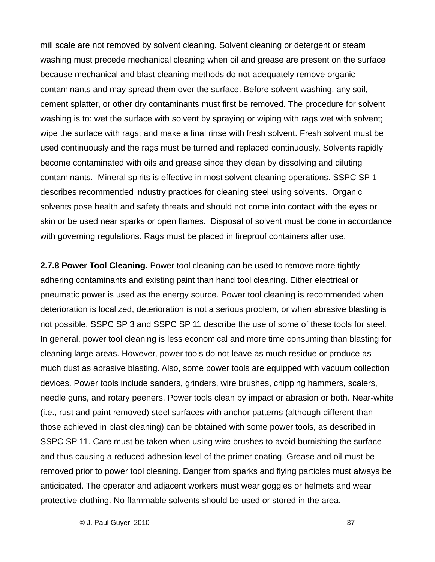mill scale are not removed by solvent cleaning. Solvent cleaning or detergent or steam washing must precede mechanical cleaning when oil and grease are present on the surface because mechanical and blast cleaning methods do not adequately remove organic contaminants and may spread them over the surface. Before solvent washing, any soil, cement splatter, or other dry contaminants must first be removed. The procedure for solvent washing is to: wet the surface with solvent by spraying or wiping with rags wet with solvent; wipe the surface with rags; and make a final rinse with fresh solvent. Fresh solvent must be used continuously and the rags must be turned and replaced continuously. Solvents rapidly become contaminated with oils and grease since they clean by dissolving and diluting contaminants. Mineral spirits is effective in most solvent cleaning operations. SSPC SP 1 describes recommended industry practices for cleaning steel using solvents. Organic solvents pose health and safety threats and should not come into contact with the eyes or skin or be used near sparks or open flames. Disposal of solvent must be done in accordance with governing regulations. Rags must be placed in fireproof containers after use.

**2.7.8 Power Tool Cleaning.** Power tool cleaning can be used to remove more tightly adhering contaminants and existing paint than hand tool cleaning. Either electrical or pneumatic power is used as the energy source. Power tool cleaning is recommended when deterioration is localized, deterioration is not a serious problem, or when abrasive blasting is not possible. SSPC SP 3 and SSPC SP 11 describe the use of some of these tools for steel. In general, power tool cleaning is less economical and more time consuming than blasting for cleaning large areas. However, power tools do not leave as much residue or produce as much dust as abrasive blasting. Also, some power tools are equipped with vacuum collection devices. Power tools include sanders, grinders, wire brushes, chipping hammers, scalers, needle guns, and rotary peeners. Power tools clean by impact or abrasion or both. Near-white (i.e., rust and paint removed) steel surfaces with anchor patterns (although different than those achieved in blast cleaning) can be obtained with some power tools, as described in SSPC SP 11. Care must be taken when using wire brushes to avoid burnishing the surface and thus causing a reduced adhesion level of the primer coating. Grease and oil must be removed prior to power tool cleaning. Danger from sparks and flying particles must always be anticipated. The operator and adjacent workers must wear goggles or helmets and wear protective clothing. No flammable solvents should be used or stored in the area.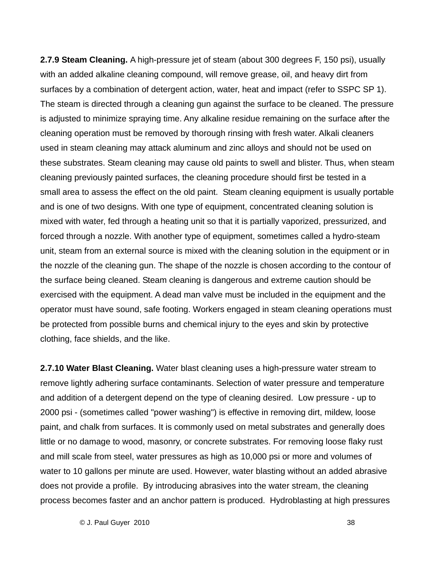**2.7.9 Steam Cleaning.** A high-pressure jet of steam (about 300 degrees F, 150 psi), usually with an added alkaline cleaning compound, will remove grease, oil, and heavy dirt from surfaces by a combination of detergent action, water, heat and impact (refer to SSPC SP 1). The steam is directed through a cleaning gun against the surface to be cleaned. The pressure is adjusted to minimize spraying time. Any alkaline residue remaining on the surface after the cleaning operation must be removed by thorough rinsing with fresh water. Alkali cleaners used in steam cleaning may attack aluminum and zinc alloys and should not be used on these substrates. Steam cleaning may cause old paints to swell and blister. Thus, when steam cleaning previously painted surfaces, the cleaning procedure should first be tested in a small area to assess the effect on the old paint. Steam cleaning equipment is usually portable and is one of two designs. With one type of equipment, concentrated cleaning solution is mixed with water, fed through a heating unit so that it is partially vaporized, pressurized, and forced through a nozzle. With another type of equipment, sometimes called a hydro-steam unit, steam from an external source is mixed with the cleaning solution in the equipment or in the nozzle of the cleaning gun. The shape of the nozzle is chosen according to the contour of the surface being cleaned. Steam cleaning is dangerous and extreme caution should be exercised with the equipment. A dead man valve must be included in the equipment and the operator must have sound, safe footing. Workers engaged in steam cleaning operations must be protected from possible burns and chemical injury to the eyes and skin by protective clothing, face shields, and the like.

**2.7.10 Water Blast Cleaning.** Water blast cleaning uses a high-pressure water stream to remove lightly adhering surface contaminants. Selection of water pressure and temperature and addition of a detergent depend on the type of cleaning desired. Low pressure - up to 2000 psi - (sometimes called "power washing") is effective in removing dirt, mildew, loose paint, and chalk from surfaces. It is commonly used on metal substrates and generally does little or no damage to wood, masonry, or concrete substrates. For removing loose flaky rust and mill scale from steel, water pressures as high as 10,000 psi or more and volumes of water to 10 gallons per minute are used. However, water blasting without an added abrasive does not provide a profile. By introducing abrasives into the water stream, the cleaning process becomes faster and an anchor pattern is produced. Hydroblasting at high pressures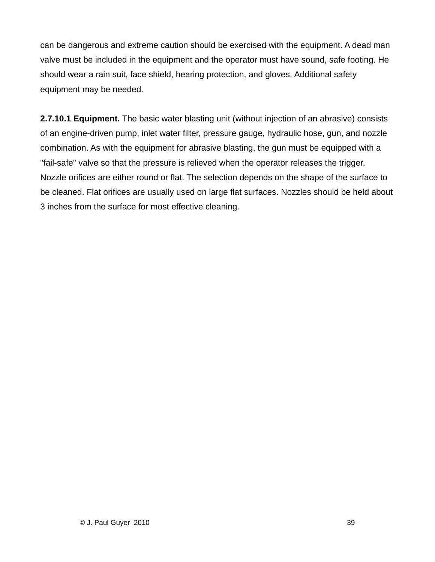can be dangerous and extreme caution should be exercised with the equipment. A dead man valve must be included in the equipment and the operator must have sound, safe footing. He should wear a rain suit, face shield, hearing protection, and gloves. Additional safety equipment may be needed.

**2.7.10.1 Equipment.** The basic water blasting unit (without injection of an abrasive) consists of an engine-driven pump, inlet water filter, pressure gauge, hydraulic hose, gun, and nozzle combination. As with the equipment for abrasive blasting, the gun must be equipped with a "fail-safe" valve so that the pressure is relieved when the operator releases the trigger. Nozzle orifices are either round or flat. The selection depends on the shape of the surface to be cleaned. Flat orifices are usually used on large flat surfaces. Nozzles should be held about 3 inches from the surface for most effective cleaning.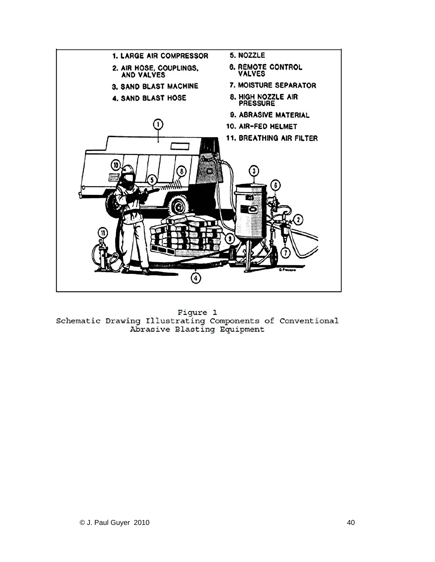

Figure 1<br>Schematic Drawing Illustrating Components of Conventional Abrasive Blasting Equipment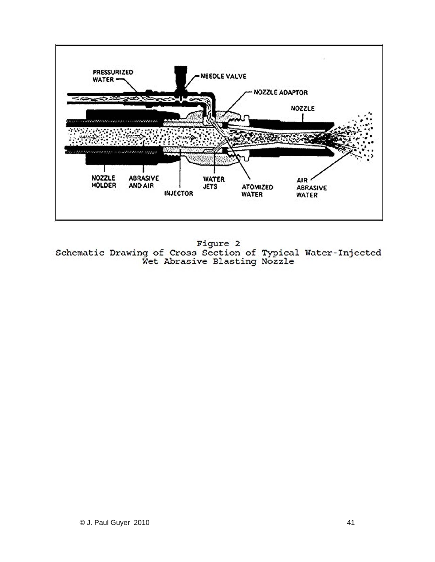

Figure 2 Schematic Drawing of Cross Section of Typical Water-Injected<br>Wet Abrasive Blasting Nozzle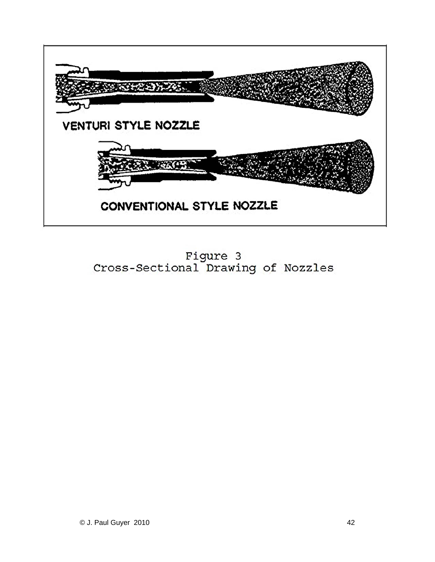

Figure 3<br>Cross-Sectional Drawing of Nozzles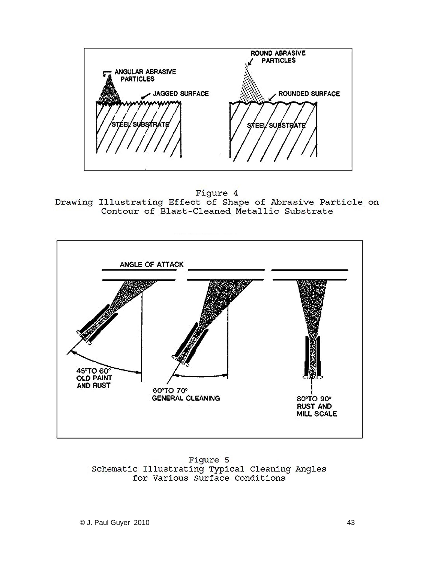

Figure 4 Drawing Illustrating Effect of Shape of Abrasive Particle on Contour of Blast-Cleaned Metallic Substrate



Figure 5 Schematic Illustrating Typical Cleaning Angles for Various Surface Conditions